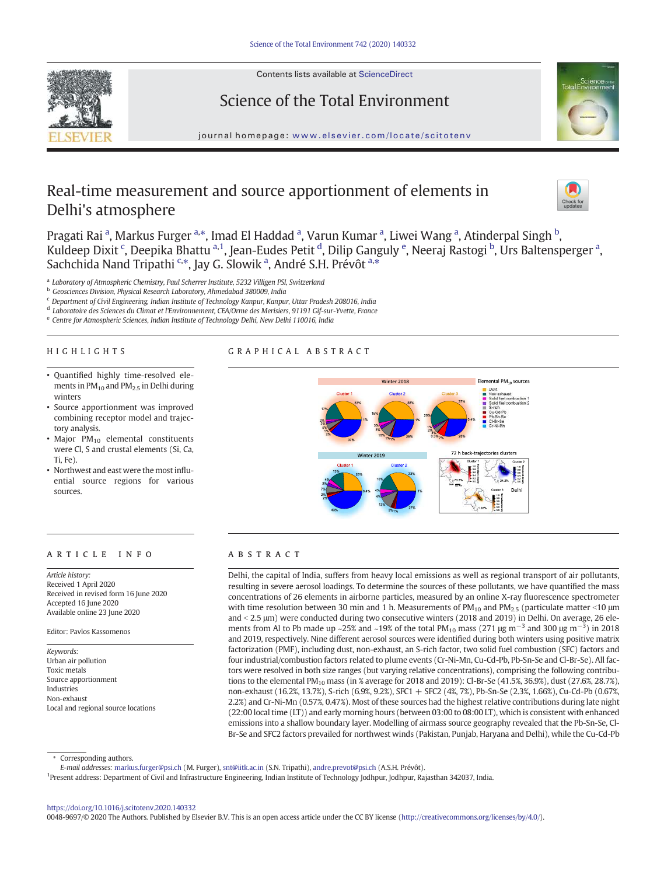

Contents lists available at ScienceDirect

# Science of the Total Environment



journal homepage: www.elsevier.com/locate/scitotenv

# Real-time measurement and source apportionment of elements in Delhi's atmosphere



Pragati Rai <sup>a</sup>, Markus Furger <sup>a,\*</sup>, Imad El Haddad <sup>a</sup>, Varun Kumar <sup>a</sup>, Liwei Wang <sup>a</sup>, Atinderpal Singh <sup>b</sup>, Kuldeep Dixit <sup>c</sup>, Deepika Bhattu <sup>a,1</sup>, Jean-Eudes Petit <sup>d</sup>, Dilip Ganguly <sup>e</sup>, Neeraj Rastogi <sup>b</sup>, Urs Baltensperger <sup>a</sup>, Sachchida Nand Tripathi S\*, Jay G. Slowik <sup>a</sup>, André S.H. Prévôt <sup>a,\*</sup>

a *Laboratory of Atmospheric Chemistry, Paul Scherrer Institute, 5232 Villigen PSI, Switzerland*

<sup>b</sup> *Geosciences Division, Physical Research Laboratory, Ahmedabad 380009, India*

<sup>c</sup> *Department of Civil Engineering, Indian Institute of Technology Kanpur, Kanpur, Uttar Pradesh 208016, India*

d *Laboratoire des Sciences du Climat et l'Environnement, CEA/Orme des Merisiers, 91191 Gif-sur-Yvette, France*

e *Centre for Atmospheric Sciences, Indian Institute of Technology Delhi, New Delhi 110016, India*

#### HIGHLIGHTS

# GRAPHICAL ABSTRACT

- Quantified highly time-resolved elements in PM<sub>10</sub> and PM<sub>2.5</sub> in Delhi during winters
- Source apportionment was improved combining receptor model and trajectory analysis.
- Major  $PM_{10}$  elemental constituents were Cl, S and crustal elements (Si, Ca, Ti, Fe).
- Northwest and east were the most influential source regions for various sources.

# article info abstract

*Article history:* Received 1 April 2020 Received in revised form 16 June 2020 Accepted 16 June 2020 Available online 23 June 2020

Editor: Pavlos Kassomenos

*Keywords:* Urban air pollution Toxic metals Source apportionment Industries Non-exhaust Local and regional source locations



Delhi, the capital of India, suffers from heavy local emissions as well as regional transport of air pollutants, resulting in severe aerosol loadings. To determine the sources of these pollutants, we have quantified the mass concentrations of 26 elements in airborne particles, measured by an online X-ray fluorescence spectrometer with time resolution between 30 min and 1 h. Measurements of  $PM_{10}$  and  $PM_{2.5}$  (particulate matter <10 µm and < 2.5 µm) were conducted during two consecutive winters (2018 and 2019) in Delhi. On average, 26 elements from Al to Pb made up ~25% and ~19% of the total PM<sub>10</sub> mass (271 µg m<sup>-3</sup> and 300 µg m<sup>-3</sup>) in 2018 and 2019, respectively. Nine different aerosol sources were identified during both winters using positive matrix factorization (PMF), including dust, non-exhaust, an S-rich factor, two solid fuel combustion (SFC) factors and four industrial/combustion factors related to plume events (Cr-Ni-Mn, Cu-Cd-Pb, Pb-Sn-Se and Cl-Br-Se). All factors were resolved in both size ranges (but varying relative concentrations), comprising the following contributions to the elemental PM<sub>10</sub> mass (in % average for 2018 and 2019): Cl-Br-Se (41.5%, 36.9%), dust (27.6%, 28.7%), non-exhaust (16.2%, 13.7%), S-rich (6.9%, 9.2%), SFC1 + SFC2 (4%, 7%), Pb-Sn-Se (2.3%, 1.66%), Cu-Cd-Pb (0.67%, 2.2%) and Cr-Ni-Mn (0.57%, 0.47%). Most of these sources had the highest relative contributions during late night (22:00 local time (LT)) and early morning hours (between 03:00 to 08:00 LT), which is consistent with enhanced emissions into a shallow boundary layer. Modelling of airmass source geography revealed that the Pb-Sn-Se, Cl-Br-Se and SFC2 factors prevailed for northwest winds (Pakistan, Punjab, Haryana and Delhi), while the Cu-Cd-Pb

Corresponding authors.

*E-mail addresses:* markus.furger@psi.ch (M. Furger), snt@iitk.ac.in (S.N. Tripathi), andre.prevot@psi.ch (A.S.H. Prévôt).

<sup>1</sup>Present address: Department of Civil and Infrastructure Engineering, Indian Institute of Technology Jodhpur, Jodhpur, Rajasthan 342037, India.

https://doi.org/10.1016/j.scitotenv.2020.140332

0048-9697/© 2020 The Authors. Published by Elsevier B.V. This is an open access article under the CC BY license (http://creativecommons.org/licenses/by/4.0/).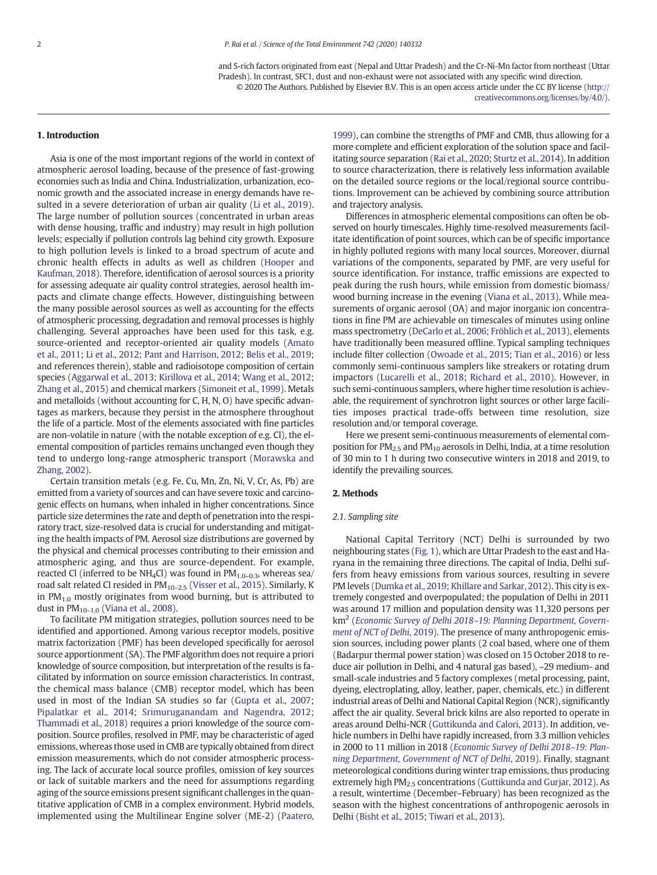and S-rich factors originated from east (Nepal and Uttar Pradesh) and the Cr-Ni-Mn factor from northeast (Uttar Pradesh). In contrast, SFC1, dust and non-exhaust were not associated with any specific wind direction. © 2020 The Authors. Published by Elsevier B.V. This is an open access article under the CC BY license (http:// creativecommons.org/licenses/by/4.0/).

## 1. Introduction

Asia is one of the most important regions of the world in context of atmospheric aerosol loading, because of the presence of fast-growing economies such as India and China. Industrialization, urbanization, economic growth and the associated increase in energy demands have resulted in a severe deterioration of urban air quality (Li et al., 2019). The large number of pollution sources (concentrated in urban areas with dense housing, traffic and industry) may result in high pollution levels; especially if pollution controls lag behind city growth. Exposure to high pollution levels is linked to a broad spectrum of acute and chronic health effects in adults as well as children (Hooper and Kaufman, 2018). Therefore, identification of aerosol sources is a priority for assessing adequate air quality control strategies, aerosol health impacts and climate change effects. However, distinguishing between the many possible aerosol sources as well as accounting for the effects of atmospheric processing, degradation and removal processes is highly challenging. Several approaches have been used for this task, e.g. source-oriented and receptor-oriented air quality models (Amato et al., 2011; Li et al., 2012; Pant and Harrison, 2012; Belis et al., 2019; and references therein), stable and radioisotope composition of certain species (Aggarwal et al., 2013; Kirillova et al., 2014; Wang et al., 2012; Zhang et al., 2015) and chemical markers (Simoneit et al., 1999). Metals and metalloids (without accounting for C, H, N, O) have specific advantages as markers, because they persist in the atmosphere throughout the life of a particle. Most of the elements associated with fine particles are non-volatile in nature (with the notable exception of e.g. Cl), the elemental composition of particles remains unchanged even though they tend to undergo long-range atmospheric transport (Morawska and Zhang, 2002).

Certain transition metals (e.g. Fe, Cu, Mn, Zn, Ni, V, Cr, As, Pb) are emitted from a variety of sources and can have severe toxic and carcinogenic effects on humans, when inhaled in higher concentrations. Since particle size determines the rate and depth of penetration into the respiratory tract, size-resolved data is crucial for understanding and mitigating the health impacts of PM. Aerosol size distributions are governed by the physical and chemical processes contributing to their emission and atmospheric aging, and thus are source-dependent. For example, reacted Cl (inferred to be NH<sub>4</sub>Cl) was found in  $PM<sub>1.0-0.3</sub>$ , whereas sea/ road salt related Cl resided in PM<sub>10-2.5</sub> (Visser et al., 2015). Similarly, K in  $PM_{1,0}$  mostly originates from wood burning, but is attributed to dust in  $PM_{10-1.0}$  (Viana et al., 2008).

To facilitate PM mitigation strategies, pollution sources need to be identified and apportioned. Among various receptor models, positive matrix factorization (PMF) has been developed specifically for aerosol source apportionment (SA). The PMF algorithm does not require a priori knowledge of source composition, but interpretation of the results is facilitated by information on source emission characteristics. In contrast, the chemical mass balance (CMB) receptor model, which has been used in most of the Indian SA studies so far (Gupta et al., 2007; Pipalatkar et al., 2014; Srimuruganandam and Nagendra, 2012; Thammadi et al., 2018) requires a priori knowledge of the source composition. Source profiles, resolved in PMF, may be characteristic of aged emissions, whereas those used in CMB are typically obtained from direct emission measurements, which do not consider atmospheric processing. The lack of accurate local source profiles, omission of key sources or lack of suitable markers and the need for assumptions regarding aging of the source emissions present significant challenges in the quantitative application of CMB in a complex environment. Hybrid models, implemented using the Multilinear Engine solver (ME-2) (Paatero, 1999), can combine the strengths of PMF and CMB, thus allowing for a more complete and efficient exploration of the solution space and facilitating source separation (Rai et al., 2020; Sturtz et al., 2014). In addition to source characterization, there is relatively less information available on the detailed source regions or the local/regional source contributions. Improvement can be achieved by combining source attribution and trajectory analysis.

Differences in atmospheric elemental compositions can often be observed on hourly timescales. Highly time-resolved measurements facilitate identification of point sources, which can be of specific importance in highly polluted regions with many local sources. Moreover, diurnal variations of the components, separated by PMF, are very useful for source identification. For instance, traffic emissions are expected to peak during the rush hours, while emission from domestic biomass/ wood burning increase in the evening (Viana et al., 2013). While measurements of organic aerosol (OA) and major inorganic ion concentrations in fine PM are achievable on timescales of minutes using online mass spectrometry (DeCarlo et al., 2006; Fröhlich et al., 2013), elements have traditionally been measured offline. Typical sampling techniques include filter collection (Owoade et al., 2015; Tian et al., 2016) or less commonly semi-continuous samplers like streakers or rotating drum impactors (Lucarelli et al., 2018; Richard et al., 2010). However, in such semi-continuous samplers, where higher time resolution is achievable, the requirement of synchrotron light sources or other large facilities imposes practical trade-offs between time resolution, size resolution and/or temporal coverage.

Here we present semi-continuous measurements of elemental composition for  $PM<sub>2.5</sub>$  and  $PM<sub>10</sub>$  aerosols in Delhi, India, at a time resolution of 30 min to 1 h during two consecutive winters in 2018 and 2019, to identify the prevailing sources.

#### 2. Methods

#### *2.1. Sampling site*

National Capital Territory (NCT) Delhi is surrounded by two neighbouring states (Fig. 1), which are Uttar Pradesh to the east and Haryana in the remaining three directions. The capital of India, Delhi suffers from heavy emissions from various sources, resulting in severe PM levels (Dumka et al., 2019; Khillare and Sarkar, 2012). This city is extremely congested and overpopulated; the population of Delhi in 2011 was around 17 million and population density was 11,320 persons per km<sup>2</sup> (*Economic Survey of Delhi 2018*–*19: Planning Department, Government of NCT of Delhi*, 2019). The presence of many anthropogenic emission sources, including power plants (2 coal based, where one of them (Badarpur thermal power station) was closed on 15 October 2018 to reduce air pollution in Delhi, and 4 natural gas based), ~29 medium- and small-scale industries and 5 factory complexes (metal processing, paint, dyeing, electroplating, alloy, leather, paper, chemicals, etc.) in different industrial areas of Delhi and National Capital Region (NCR), significantly affect the air quality. Several brick kilns are also reported to operate in areas around Delhi-NCR (Guttikunda and Calori, 2013). In addition, vehicle numbers in Delhi have rapidly increased, from 3.3 million vehicles in 2000 to 11 million in 2018 (*Economic Survey of Delhi 2018*–*19: Planning Department, Government of NCT of Delhi*, 2019). Finally, stagnant meteorological conditions during winter trap emissions, thus producing extremely high PM<sub>2.5</sub> concentrations (Guttikunda and Gurjar, 2012). As a result, wintertime (December–February) has been recognized as the season with the highest concentrations of anthropogenic aerosols in Delhi (Bisht et al., 2015; Tiwari et al., 2013).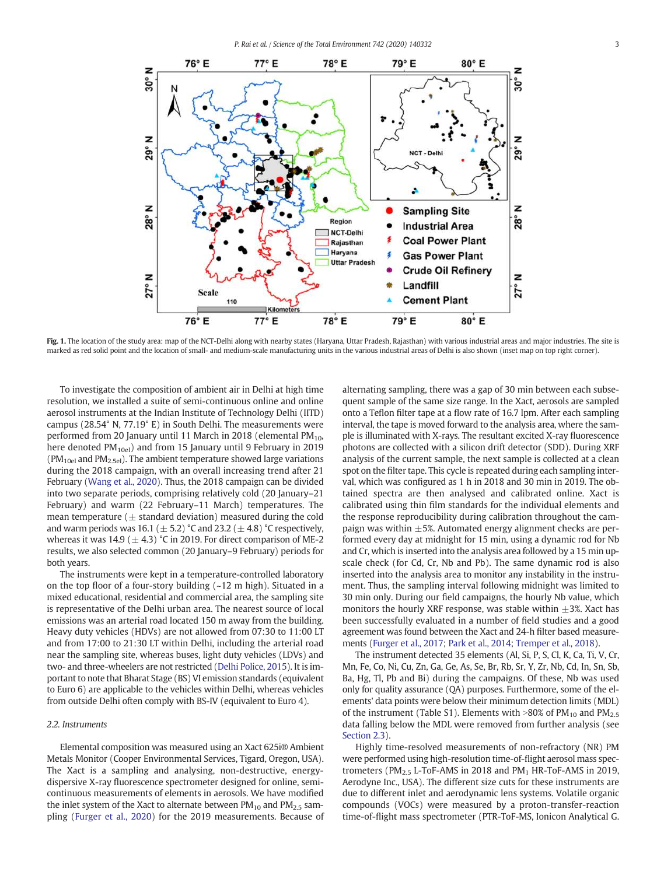*P. Rai et al. / Science of the Total Environment 742 (2020) 140332* 3



Fig. 1. The location of the study area: map of the NCT-Delhi along with nearby states (Haryana, Uttar Pradesh, Rajasthan) with various industrial areas and major industries. The site is marked as red solid point and the location of small- and medium-scale manufacturing units in the various industrial areas of Delhi is also shown (inset map on top right corner).

To investigate the composition of ambient air in Delhi at high time resolution, we installed a suite of semi-continuous online and online aerosol instruments at the Indian Institute of Technology Delhi (IITD) campus (28.54° N, 77.19° E) in South Delhi. The measurements were performed from 20 January until 11 March in 2018 (elemental  $PM_{10}$ , here denoted PM<sub>10el</sub>) and from 15 January until 9 February in 2019  $(PM<sub>10el</sub>$  and PM<sub>2.5el</sub>). The ambient temperature showed large variations during the 2018 campaign, with an overall increasing trend after 21 February (Wang et al., 2020). Thus, the 2018 campaign can be divided into two separate periods, comprising relatively cold (20 January–21 February) and warm (22 February–11 March) temperatures. The mean temperature ( $\pm$  standard deviation) measured during the cold and warm periods was 16.1 ( $\pm$  5.2) °C and 23.2 ( $\pm$  4.8) °C respectively, whereas it was 14.9 ( $\pm$  4.3) °C in 2019. For direct comparison of ME-2 results, we also selected common (20 January–9 February) periods for both years.

The instruments were kept in a temperature-controlled laboratory on the top floor of a four-story building (~12 m high). Situated in a mixed educational, residential and commercial area, the sampling site is representative of the Delhi urban area. The nearest source of local emissions was an arterial road located 150 m away from the building. Heavy duty vehicles (HDVs) are not allowed from 07:30 to 11:00 LT and from 17:00 to 21:30 LT within Delhi, including the arterial road near the sampling site, whereas buses, light duty vehicles (LDVs) and two- and three-wheelers are not restricted (Delhi Police, 2015). It is important to note that Bharat Stage (BS) VI emission standards (equivalent to Euro 6) are applicable to the vehicles within Delhi, whereas vehicles from outside Delhi often comply with BS-IV (equivalent to Euro 4).

## *2.2. Instruments*

Elemental composition was measured using an Xact 625i® Ambient Metals Monitor (Cooper Environmental Services, Tigard, Oregon, USA). The Xact is a sampling and analysing, non-destructive, energydispersive X-ray fluorescence spectrometer designed for online, semicontinuous measurements of elements in aerosols. We have modified the inlet system of the Xact to alternate between  $PM_{10}$  and  $PM_{2.5}$  sampling (Furger et al., 2020) for the 2019 measurements. Because of alternating sampling, there was a gap of 30 min between each subsequent sample of the same size range. In the Xact, aerosols are sampled onto a Teflon filter tape at a flow rate of 16.7 lpm. After each sampling interval, the tape is moved forward to the analysis area, where the sample is illuminated with X-rays. The resultant excited X-ray fluorescence photons are collected with a silicon drift detector (SDD). During XRF analysis of the current sample, the next sample is collected at a clean spot on the filter tape. This cycle is repeated during each sampling interval, which was configured as 1 h in 2018 and 30 min in 2019. The obtained spectra are then analysed and calibrated online. Xact is calibrated using thin film standards for the individual elements and the response reproducibility during calibration throughout the campaign was within  $\pm$ 5%. Automated energy alignment checks are performed every day at midnight for 15 min, using a dynamic rod for Nb and Cr, which is inserted into the analysis area followed by a 15 min upscale check (for Cd, Cr, Nb and Pb). The same dynamic rod is also inserted into the analysis area to monitor any instability in the instrument. Thus, the sampling interval following midnight was limited to 30 min only. During our field campaigns, the hourly Nb value, which monitors the hourly XRF response, was stable within  $\pm$ 3%. Xact has been successfully evaluated in a number of field studies and a good agreement was found between the Xact and 24-h filter based measurements (Furger et al., 2017; Park et al., 2014; Tremper et al., 2018).

The instrument detected 35 elements (Al, Si, P, S, Cl, K, Ca, Ti, V, Cr, Mn, Fe, Co, Ni, Cu, Zn, Ga, Ge, As, Se, Br, Rb, Sr, Y, Zr, Nb, Cd, In, Sn, Sb, Ba, Hg, Tl, Pb and Bi) during the campaigns. Of these, Nb was used only for quality assurance (QA) purposes. Furthermore, some of the elements' data points were below their minimum detection limits (MDL) of the instrument (Table S1). Elements with  $>80\%$  of PM<sub>10</sub> and PM<sub>2.5</sub> data falling below the MDL were removed from further analysis (see Section 2.3).

Highly time-resolved measurements of non-refractory (NR) PM were performed using high-resolution time-of-flight aerosol mass spectrometers ( $PM<sub>2.5</sub>$  L-ToF-AMS in 2018 and  $PM<sub>1</sub>$  HR-ToF-AMS in 2019, Aerodyne Inc., USA). The different size cuts for these instruments are due to different inlet and aerodynamic lens systems. Volatile organic compounds (VOCs) were measured by a proton-transfer-reaction time-of-flight mass spectrometer (PTR-ToF-MS, Ionicon Analytical G.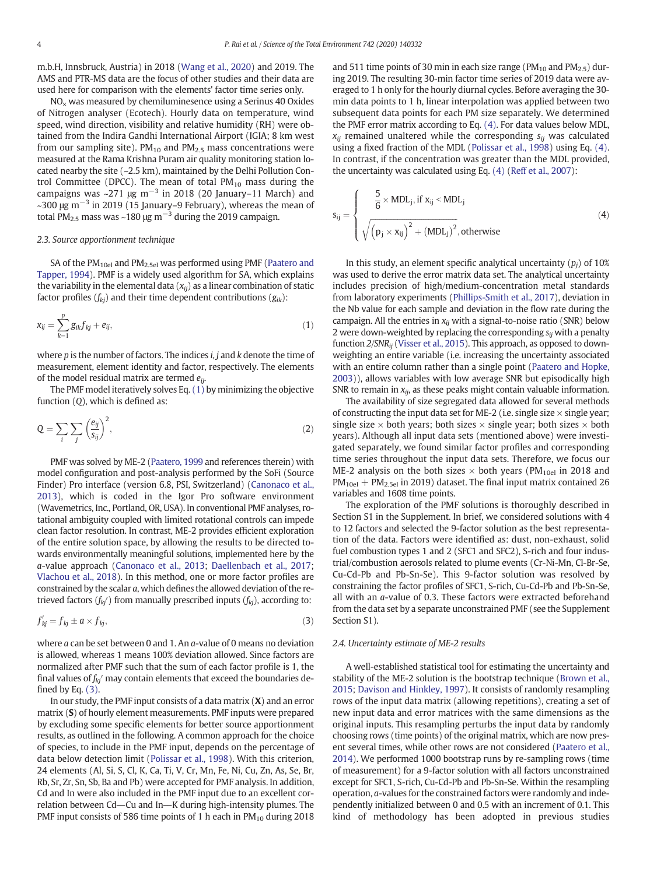m.b.H, Innsbruck, Austria) in 2018 (Wang et al., 2020) and 2019. The AMS and PTR-MS data are the focus of other studies and their data are used here for comparison with the elements' factor time series only.

 $NO<sub>x</sub>$  was measured by chemiluminesence using a Serinus 40 Oxides of Nitrogen analyser (Ecotech). Hourly data on temperature, wind speed, wind direction, visibility and relative humidity (RH) were obtained from the Indira Gandhi International Airport (IGIA; 8 km west from our sampling site).  $PM_{10}$  and  $PM_{2.5}$  mass concentrations were measured at the Rama Krishna Puram air quality monitoring station located nearby the site (~2.5 km), maintained by the Delhi Pollution Control Committee (DPCC). The mean of total  $PM_{10}$  mass during the campaigns was ~271  $\mu$ g m<sup>-3</sup> in 2018 (20 January–11 March) and ~300 <sup>μ</sup>g m−<sup>3</sup> in 2019 (15 January–9 February), whereas the mean of total PM<sub>2.5</sub> mass was ~180 µg m<sup>-3</sup> during the 2019 campaign.

# *2.3. Source apportionment technique*

SA of the  $PM_{10el}$  and  $PM_{2.5el}$  was performed using PMF (Paatero and Tapper, 1994). PMF is a widely used algorithm for SA, which explains the variability in the elemental data (*xij*) as a linear combination of static factor profiles (*fkj*) and their time dependent contributions (*gik*):

$$
x_{ij} = \sum_{k=1}^{p} g_{ik} f_{kj} + e_{ij},
$$
\n(1)

where *p* is the number of factors. The indices *i*, *j* and *k* denote the time of measurement, element identity and factor, respectively. The elements of the model residual matrix are termed *eij*.

The PMF model iteratively solves Eq. (1) by minimizing the objective function (*Q*), which is defined as:

$$
Q = \sum_{i} \sum_{j} \left(\frac{e_{ij}}{s_{ij}}\right)^2,\tag{2}
$$

PMF was solved by ME-2 (Paatero, 1999 and references therein) with model configuration and post-analysis performed by the SoFi (Source Finder) Pro interface (version 6.8, PSI, Switzerland) (Canonaco et al., 2013), which is coded in the Igor Pro software environment (Wavemetrics, Inc., Portland, OR, USA). In conventional PMF analyses, rotational ambiguity coupled with limited rotational controls can impede clean factor resolution. In contrast, ME-2 provides efficient exploration of the entire solution space, by allowing the results to be directed towards environmentally meaningful solutions, implemented here by the *a*-value approach (Canonaco et al., 2013; Daellenbach et al., 2017; Vlachou et al., 2018). In this method, one or more factor profiles are constrained by the scalar *a*, which defines the allowed deviation of the retrieved factors (*fkj*′) from manually prescribed inputs (*fkj*), according to:

$$
f'_{kj} = f_{kj} \pm a \times f_{kj},\tag{3}
$$

where *a* can be set between 0 and 1. An *a*-value of 0 means no deviation is allowed, whereas 1 means 100% deviation allowed. Since factors are normalized after PMF such that the sum of each factor profile is 1, the final values of *fkj*′ may contain elements that exceed the boundaries defined by Eq. (3).

In our study, the PMF input consists of a data matrix  $(X)$  and an error matrix (S) of hourly element measurements. PMF inputs were prepared by excluding some specific elements for better source apportionment results, as outlined in the following. A common approach for the choice of species, to include in the PMF input, depends on the percentage of data below detection limit (Polissar et al., 1998). With this criterion, 24 elements (Al, Si, S, Cl, K, Ca, Ti, V, Cr, Mn, Fe, Ni, Cu, Zn, As, Se, Br, Rb, Sr, Zr, Sn, Sb, Ba and Pb) were accepted for PMF analysis. In addition, Cd and In were also included in the PMF input due to an excellent correlation between Cd-Cu and In-K during high-intensity plumes. The PMF input consists of 586 time points of 1 h each in  $PM_{10}$  during 2018 and 511 time points of 30 min in each size range ( $PM_{10}$  and  $PM_{2.5}$ ) during 2019. The resulting 30-min factor time series of 2019 data were averaged to 1 h only for the hourly diurnal cycles. Before averaging the 30 min data points to 1 h, linear interpolation was applied between two subsequent data points for each PM size separately. We determined the PMF error matrix according to Eq. (4). For data values below MDL,  $x_{ij}$  remained unaltered while the corresponding  $s_{ij}$  was calculated using a fixed fraction of the MDL (Polissar et al., 1998) using Eq. (4). In contrast, if the concentration was greater than the MDL provided, the uncertainty was calculated using Eq. (4) (Reff et al., 2007):

$$
s_{ij} = \begin{cases} \frac{5}{6} \times MDL_{j}, \text{ if } x_{ij} \leq MDL_{j} \\ \sqrt{\left(p_{j} \times x_{ij}\right)^{2} + \left(MDL_{j}\right)^{2}}, \text{otherwise} \end{cases}
$$
\n
$$
(4)
$$

In this study, an element specific analytical uncertainty  $(p_i)$  of 10% was used to derive the error matrix data set. The analytical uncertainty includes precision of high/medium-concentration metal standards from laboratory experiments (Phillips-Smith et al., 2017), deviation in the Nb value for each sample and deviation in the flow rate during the campaign. All the entries in *xij* with a signal-to-noise ratio (SNR) below 2 were down-weighted by replacing the corresponding *sij* with a penalty function *2/SNRij* (Visser et al., 2015). This approach, as opposed to downweighting an entire variable (i.e. increasing the uncertainty associated with an entire column rather than a single point (Paatero and Hopke, 2003)), allows variables with low average SNR but episodically high SNR to remain in  $x_{ij}$ , as these peaks might contain valuable information.

The availability of size segregated data allowed for several methods of constructing the input data set for ME-2 (i.e. single size  $\times$  single year; single size  $\times$  both years; both sizes  $\times$  single year; both sizes  $\times$  both years). Although all input data sets (mentioned above) were investigated separately, we found similar factor profiles and corresponding time series throughout the input data sets. Therefore, we focus our ME-2 analysis on the both sizes  $\times$  both years (PM<sub>10el</sub> in 2018 and  $PM_{10el}$  +  $PM_{2.5el}$  in 2019) dataset. The final input matrix contained 26 variables and 1608 time points.

The exploration of the PMF solutions is thoroughly described in Section S1 in the Supplement. In brief, we considered solutions with 4 to 12 factors and selected the 9-factor solution as the best representation of the data. Factors were identified as: dust, non-exhaust, solid fuel combustion types 1 and 2 (SFC1 and SFC2), S-rich and four industrial/combustion aerosols related to plume events (Cr-Ni-Mn, Cl-Br-Se, Cu-Cd-Pb and Pb-Sn-Se). This 9-factor solution was resolved by constraining the factor profiles of SFC1, S-rich, Cu-Cd-Pb and Pb-Sn-Se, all with an *a*-value of 0.3. These factors were extracted beforehand from the data set by a separate unconstrained PMF (see the Supplement Section S1).

# *2.4. Uncertainty estimate of ME-2 results*

A well-established statistical tool for estimating the uncertainty and stability of the ME-2 solution is the bootstrap technique (Brown et al., 2015; Davison and Hinkley, 1997). It consists of randomly resampling rows of the input data matrix (allowing repetitions), creating a set of new input data and error matrices with the same dimensions as the original inputs. This resampling perturbs the input data by randomly choosing rows (time points) of the original matrix, which are now present several times, while other rows are not considered (Paatero et al., 2014). We performed 1000 bootstrap runs by re-sampling rows (time of measurement) for a 9-factor solution with all factors unconstrained except for SFC1, S-rich, Cu-Cd-Pb and Pb-Sn-Se. Within the resampling operation, *a*-values for the constrained factors were randomly and independently initialized between 0 and 0.5 with an increment of 0.1. This kind of methodology has been adopted in previous studies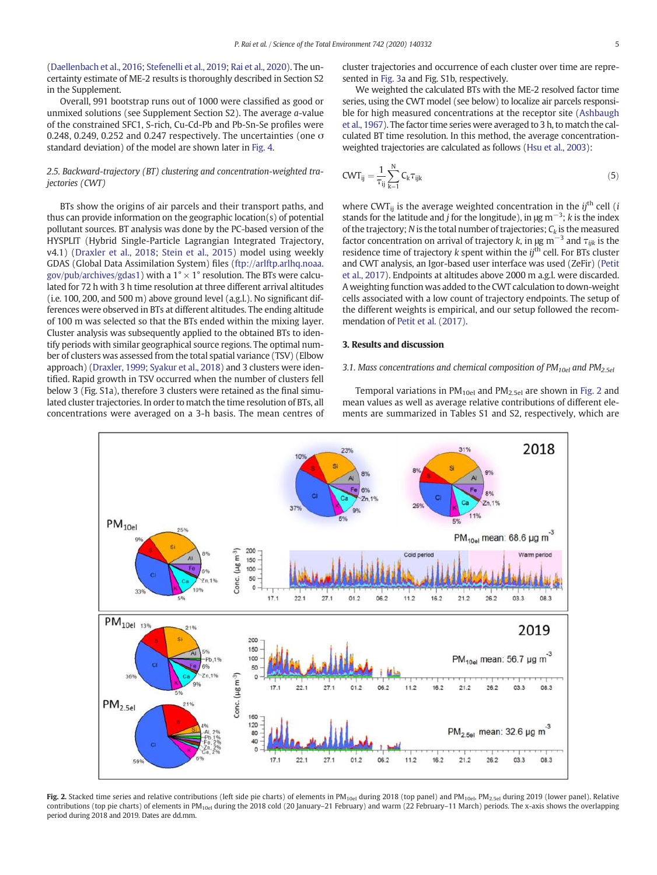(Daellenbach et al., 2016; Stefenelli et al., 2019; Rai et al., 2020). The uncertainty estimate of ME-2 results is thoroughly described in Section S2 in the Supplement.

Overall, 991 bootstrap runs out of 1000 were classified as good or unmixed solutions (see Supplement Section S2). The average *a*-value of the constrained SFC1, S-rich, Cu-Cd-Pb and Pb-Sn-Se profiles were 0.248, 0.249, 0.252 and 0.247 respectively. The uncertainties (one  $\sigma$ standard deviation) of the model are shown later in Fig. 4.

# *2.5. Backward-trajectory (BT) clustering and concentration-weighted trajectories (CWT)*

BTs show the origins of air parcels and their transport paths, and thus can provide information on the geographic location(s) of potential pollutant sources. BT analysis was done by the PC-based version of the HYSPLIT (Hybrid Single-Particle Lagrangian Integrated Trajectory, v4.1) (Draxler et al., 2018; Stein et al., 2015) model using weekly GDAS (Global Data Assimilation System) files (ftp://arlftp.arlhq.noaa. gov/pub/archives/gdas1) with a 1 $^{\circ} \times$  1 $^{\circ}$  resolution. The BTs were calculated for 72 h with 3 h time resolution at three different arrival altitudes (i.e. 100, 200, and 500 m) above ground level (a.g.l.). No significant differences were observed in BTs at different altitudes. The ending altitude of 100 m was selected so that the BTs ended within the mixing layer. Cluster analysis was subsequently applied to the obtained BTs to identify periods with similar geographical source regions. The optimal number of clusters was assessed from the total spatial variance (TSV) (Elbow approach) (Draxler, 1999; Syakur et al., 2018) and 3 clusters were identified. Rapid growth in TSV occurred when the number of clusters fell below 3 (Fig. S1a), therefore 3 clusters were retained as the final simulated cluster trajectories. In order to match the time resolution of BTs, all concentrations were averaged on a 3-h basis. The mean centres of cluster trajectories and occurrence of each cluster over time are represented in Fig. 3a and Fig. S1b, respectively.

We weighted the calculated BTs with the ME-2 resolved factor time series, using the CWT model (see below) to localize air parcels responsible for high measured concentrations at the receptor site (Ashbaugh et al., 1967). The factor time series were averaged to 3 h, to match the calculated BT time resolution. In this method, the average concentrationweighted trajectories are calculated as follows (Hsu et al., 2003):

$$
CWT_{ij} = \frac{1}{\tau_{ij}} \sum_{k=1}^{N} C_k \tau_{ijk} \tag{5}
$$

where CWT $_{ii}$  is the average weighted concentration in the  $i$ <sup>th</sup> cell (*i* stands for the latitude and *<sup>j</sup>* for the longitude), in <sup>μ</sup>g m−<sup>3</sup> ; *k* is the index of the trajectory; *N* is the total number of trajectories;  $C_k$  is the measured factor concentration on arrival of trajectory *<sup>k</sup>*, in <sup>μ</sup>g m−<sup>3</sup> and τ*ijk* is the residence time of trajectory *k* spent within the *ij*th cell. For BTs cluster and CWT analysis, an Igor-based user interface was used (ZeFir) (Petit et al., 2017). Endpoints at altitudes above 2000 m a.g.l. were discarded. A weighting function was added to the CWT calculation to down-weight cells associated with a low count of trajectory endpoints. The setup of the different weights is empirical, and our setup followed the recommendation of Petit et al. (2017).

# 3. Results and discussion

# *3.1. Mass concentrations and chemical composition of PM10el and PM2.5el*

Temporal variations in  $PM_{10el}$  and  $PM_{2.5el}$  are shown in Fig. 2 and mean values as well as average relative contributions of different elements are summarized in Tables S1 and S2, respectively, which are



Fig. 2. Stacked time series and relative contributions (left side pie charts) of elements in PM<sub>10el</sub> during 2018 (top panel) and PM<sub>10el</sub>, PM<sub>2.5el</sub> during 2019 (lower panel). Relative contributions (top pie charts) of elements in PM<sub>10el</sub> during the 2018 cold (20 January–21 February) and warm (22 February–11 March) periods. The x-axis shows the overlapping period during 2018 and 2019. Dates are dd.mm.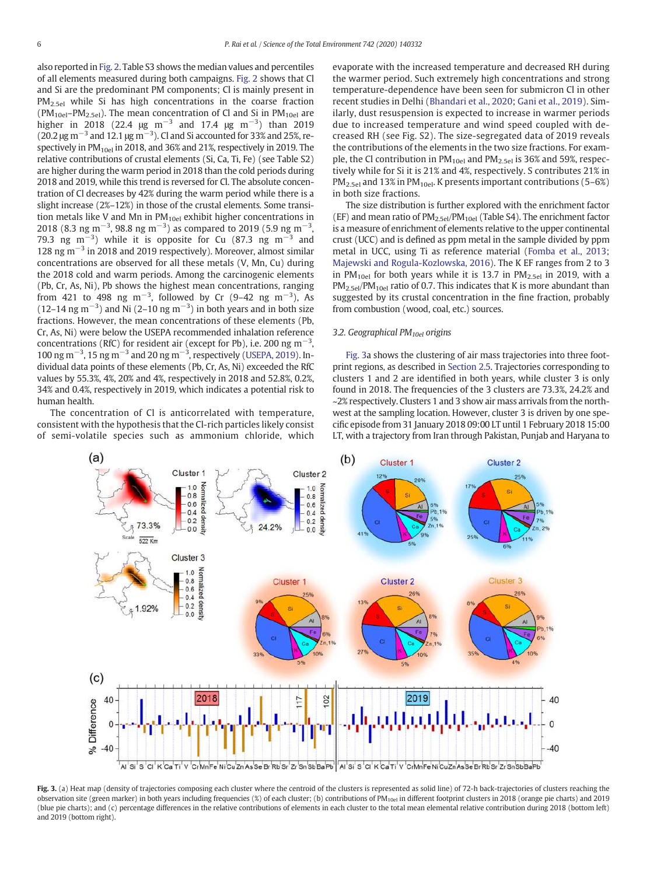also reported in Fig. 2. Table S3 shows the median values and percentiles of all elements measured during both campaigns. Fig. 2 shows that Cl and Si are the predominant PM components; Cl is mainly present in  $PM<sub>2.5el</sub>$  while Si has high concentrations in the coarse fraction  $(PM_{10el}-PM_{2.5el})$ . The mean concentration of Cl and Si in  $PM_{10el}$  are higher in 2018 (22.4  $\mu$ g m<sup>-3</sup> and 17.4  $\mu$ g m<sup>-3</sup>) than 2019 (20.2  $\mu$ g m<sup>-3</sup> and 12.1  $\mu$ g m<sup>-3</sup>). Cl and Si accounted for 33% and 25%, respectively in  $PM_{10el}$  in 2018, and 36% and 21%, respectively in 2019. The relative contributions of crustal elements (Si, Ca, Ti, Fe) (see Table S2) are higher during the warm period in 2018 than the cold periods during 2018 and 2019, while this trend is reversed for Cl. The absolute concentration of Cl decreases by 42% during the warm period while there is a slight increase (2%–12%) in those of the crustal elements. Some transition metals like V and Mn in PM<sub>10el</sub> exhibit higher concentrations in 2018 (8.3 ng m<sup>-3</sup>, 98.8 ng m<sup>-3</sup>) as compared to 2019 (5.9 ng m<sup>-3</sup>, 79.3 ng m<sup>-3</sup>) while it is opposite for Cu (87.3 ng m<sup>-3</sup> and 128 ng m−<sup>3</sup> in 2018 and 2019 respectively). Moreover, almost similar concentrations are observed for all these metals (V, Mn, Cu) during the 2018 cold and warm periods. Among the carcinogenic elements (Pb, Cr, As, Ni), Pb shows the highest mean concentrations, ranging from 421 to 498 ng m<sup>-3</sup>, followed by Cr (9-42 ng m<sup>-3</sup>), As (12–14 ng m<sup>-3</sup>) and Ni (2–10 ng m<sup>-3</sup>) in both years and in both size fractions. However, the mean concentrations of these elements (Pb, Cr, As, Ni) were below the USEPA recommended inhalation reference concentrations (RfC) for resident air (except for Pb), i.e. 200 ng m<sup>-3</sup>, 100 ng m<sup>-3</sup>, 15 ng m<sup>-3</sup> and 20 ng m<sup>-3</sup>, respectively (USEPA, 2019). Individual data points of these elements (Pb, Cr, As, Ni) exceeded the RfC values by 55.3%, 4%, 20% and 4%, respectively in 2018 and 52.8%, 0.2%, 34% and 0.4%, respectively in 2019, which indicates a potential risk to human health.

The concentration of Cl is anticorrelated with temperature, consistent with the hypothesis that the Cl-rich particles likely consist of semi-volatile species such as ammonium chloride, which evaporate with the increased temperature and decreased RH during the warmer period. Such extremely high concentrations and strong temperature-dependence have been seen for submicron Cl in other recent studies in Delhi (Bhandari et al., 2020; Gani et al., 2019). Similarly, dust resuspension is expected to increase in warmer periods due to increased temperature and wind speed coupled with decreased RH (see Fig. S2). The size-segregated data of 2019 reveals the contributions of the elements in the two size fractions. For example, the Cl contribution in  $PM_{10el}$  and  $PM_{2.5el}$  is 36% and 59%, respectively while for Si it is 21% and 4%, respectively. S contributes 21% in  $PM_{2.5el}$  and 13% in PM<sub>10el</sub>. K presents important contributions (5–6%) in both size fractions.

The size distribution is further explored with the enrichment factor (EF) and mean ratio of PM2.5el/PM10el (Table S4). The enrichment factor is a measure of enrichment of elements relative to the upper continental crust (UCC) and is defined as ppm metal in the sample divided by ppm metal in UCC, using Ti as reference material (Fomba et al., 2013; Majewski and Rogula-Kozlowska, 2016). The K EF ranges from 2 to 3 in PM<sub>10el</sub> for both years while it is 13.7 in PM<sub>2.5el</sub> in 2019, with a  $PM_{2.5el}/PM_{10el}$  ratio of 0.7. This indicates that K is more abundant than suggested by its crustal concentration in the fine fraction, probably from combustion (wood, coal, etc.) sources.

# *3.2. Geographical PM10el origins*

Fig. 3a shows the clustering of air mass trajectories into three footprint regions, as described in Section 2.5. Trajectories corresponding to clusters 1 and 2 are identified in both years, while cluster 3 is only found in 2018. The frequencies of the 3 clusters are 73.3%, 24.2% and ~2% respectively. Clusters 1 and 3 show air mass arrivals from the northwest at the sampling location. However, cluster 3 is driven by one specific episode from 31 January 2018 09:00 LT until 1 February 2018 15:00 LT, with a trajectory from Iran through Pakistan, Punjab and Haryana to



Fig. 3. (a) Heat map (density of trajectories composing each cluster where the centroid of the clusters is represented as solid line) of 72-h back-trajectories of clusters reaching the observation site (green marker) in both years including frequencies (%) of each cluster; (b) contributions of PM<sub>10el</sub> in different footprint clusters in 2018 (orange pie charts) and 2019 (blue pie charts); and (c) percentage differences in the relative contributions of elements in each cluster to the total mean elemental relative contribution during 2018 (bottom left) and 2019 (bottom right).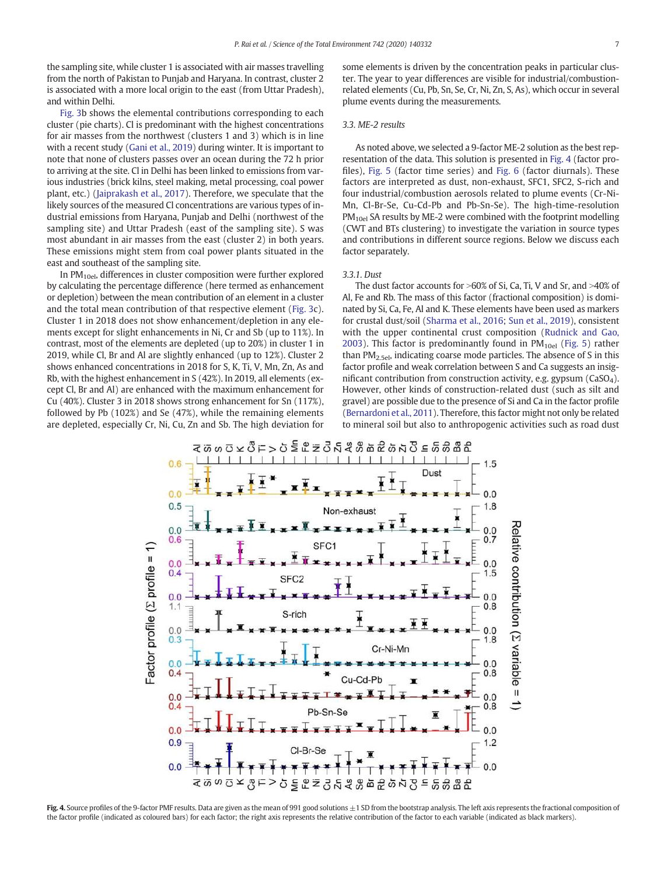the sampling site, while cluster 1 is associated with air masses travelling from the north of Pakistan to Punjab and Haryana. In contrast, cluster 2 is associated with a more local origin to the east (from Uttar Pradesh), and within Delhi.

Fig. 3b shows the elemental contributions corresponding to each cluster (pie charts). Cl is predominant with the highest concentrations for air masses from the northwest (clusters 1 and 3) which is in line with a recent study (Gani et al., 2019) during winter. It is important to note that none of clusters passes over an ocean during the 72 h prior to arriving at the site. Cl in Delhi has been linked to emissions from various industries (brick kilns, steel making, metal processing, coal power plant, etc.) (Jaiprakash et al., 2017). Therefore, we speculate that the likely sources of the measured Cl concentrations are various types of industrial emissions from Haryana, Punjab and Delhi (northwest of the sampling site) and Uttar Pradesh (east of the sampling site). S was most abundant in air masses from the east (cluster 2) in both years. These emissions might stem from coal power plants situated in the east and southeast of the sampling site.

In  $PM<sub>10e1</sub>$ , differences in cluster composition were further explored by calculating the percentage difference (here termed as enhancement or depletion) between the mean contribution of an element in a cluster and the total mean contribution of that respective element (Fig. 3c). Cluster 1 in 2018 does not show enhancement/depletion in any elements except for slight enhancements in Ni, Cr and Sb (up to 11%). In contrast, most of the elements are depleted (up to 20%) in cluster 1 in 2019, while Cl, Br and Al are slightly enhanced (up to 12%). Cluster 2 shows enhanced concentrations in 2018 for S, K, Ti, V, Mn, Zn, As and Rb, with the highest enhancement in S (42%). In 2019, all elements (except Cl, Br and Al) are enhanced with the maximum enhancement for Cu (40%). Cluster 3 in 2018 shows strong enhancement for Sn (117%), followed by Pb (102%) and Se (47%), while the remaining elements are depleted, especially Cr, Ni, Cu, Zn and Sb. The high deviation for some elements is driven by the concentration peaks in particular cluster. The year to year differences are visible for industrial/combustionrelated elements (Cu, Pb, Sn, Se, Cr, Ni, Zn, S, As), which occur in several plume events during the measurements.

# *3.3. ME-2 results*

As noted above, we selected a 9-factor ME-2 solution as the best representation of the data. This solution is presented in Fig. 4 (factor profiles), Fig. 5 (factor time series) and Fig. 6 (factor diurnals). These factors are interpreted as dust, non-exhaust, SFC1, SFC2, S-rich and four industrial/combustion aerosols related to plume events (Cr-Ni-Mn, Cl-Br-Se, Cu-Cd-Pb and Pb-Sn-Se). The high-time-resolution PM<sub>10el</sub> SA results by ME-2 were combined with the footprint modelling (CWT and BTs clustering) to investigate the variation in source types and contributions in different source regions. Below we discuss each factor separately.

## *3.3.1. Dust*

The dust factor accounts for  $>60\%$  of Si, Ca, Ti, V and Sr, and  $>40\%$  of Al, Fe and Rb. The mass of this factor (fractional composition) is dominated by Si, Ca, Fe, Al and K. These elements have been used as markers for crustal dust/soil (Sharma et al., 2016; Sun et al., 2019), consistent with the upper continental crust composition (Rudnick and Gao, 2003). This factor is predominantly found in  $PM_{10el}$  (Fig. 5) rather than PM<sub>2.5el</sub>, indicating coarse mode particles. The absence of S in this factor profile and weak correlation between S and Ca suggests an insignificant contribution from construction activity, e.g. gypsum (CaSO4). However, other kinds of construction-related dust (such as silt and gravel) are possible due to the presence of Si and Ca in the factor profile (Bernardoni et al., 2011). Therefore, this factor might not only be related to mineral soil but also to anthropogenic activities such as road dust



Fig. 4. Source profiles of the 9-factor PMF results. Data are given as the mean of 991 good solutions  $\pm 1$  SD from the bootstrap analysis. The left axis represents the fractional composition of the factor profile (indicated as coloured bars) for each factor; the right axis represents the relative contribution of the factor to each variable (indicated as black markers).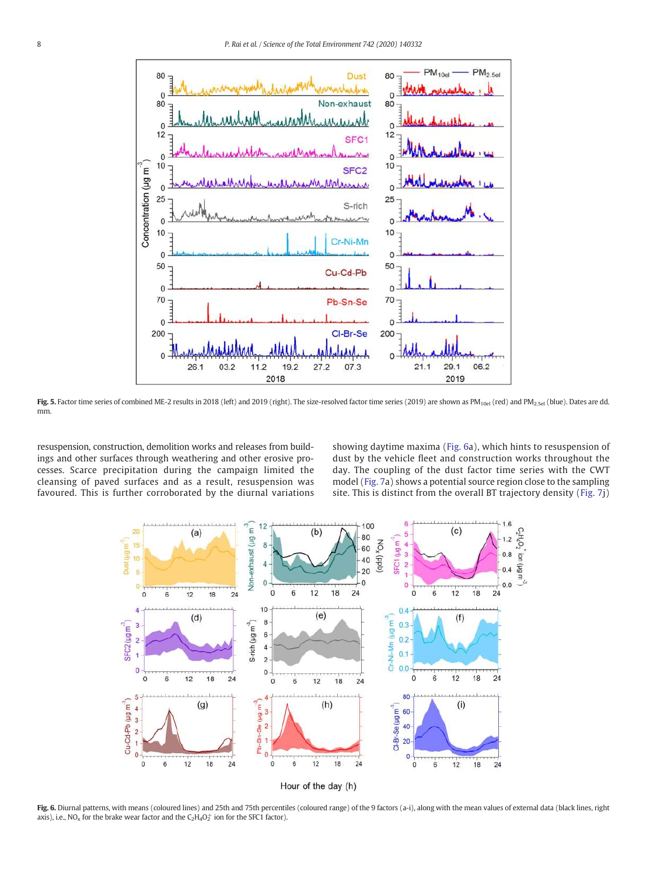

Fig. 5. Factor time series of combined ME-2 results in 2018 (left) and 2019 (right). The size-resolved factor time series (2019) are shown as PM<sub>10el</sub> (red) and PM<sub>2.5el</sub> (blue). Dates are dd. mm.

resuspension, construction, demolition works and releases from buildings and other surfaces through weathering and other erosive processes. Scarce precipitation during the campaign limited the cleansing of paved surfaces and as a result, resuspension was favoured. This is further corroborated by the diurnal variations showing daytime maxima (Fig. 6a), which hints to resuspension of dust by the vehicle fleet and construction works throughout the day. The coupling of the dust factor time series with the CWT model (Fig. 7a) shows a potential source region close to the sampling site. This is distinct from the overall BT trajectory density (Fig. 7j)



Fig. 6. Diurnal patterns, with means (coloured lines) and 25th and 75th percentiles (coloured range) of the 9 factors (a-i), along with the mean values of external data (black lines, right axis), i.e., NO<sub>x</sub> for the brake wear factor and the  $C_2H_4O_2^+$  ion for the SFC1 factor).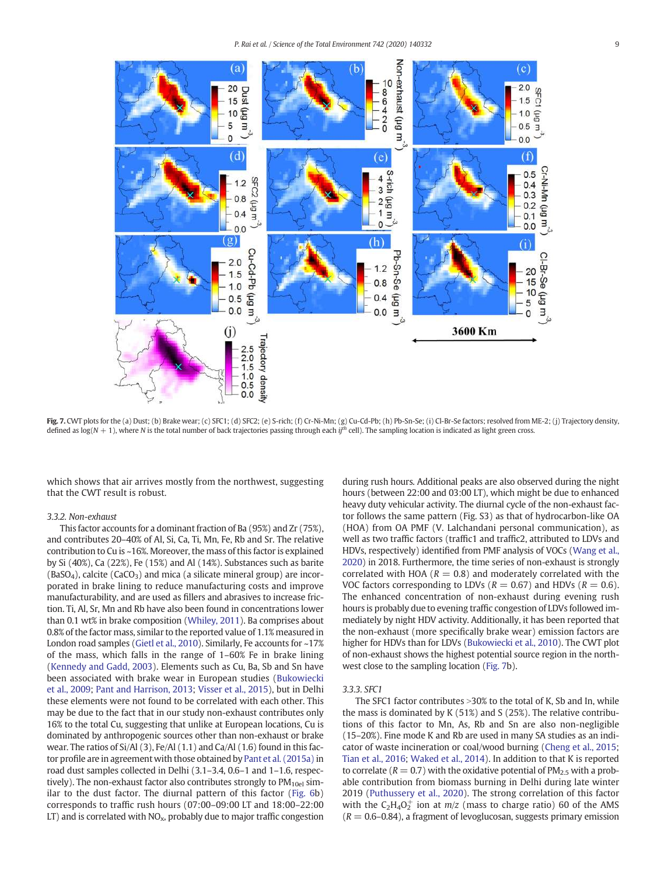

Fig. 7. CWT plots for the (a) Dust; (b) Brake wear; (c) SFC1; (d) SFC2; (e) S-rich; (f) Cr-Ni-Mn; (g) Cu-Cd-Pb; (h) Pb-Sn-Se; (i) Cl-Br-Se factors; resolved from ME-2; (j) Trajectory density, defined as  $log(N + 1)$ , where *N* is the total number of back trajectories passing through each *if*<sup>th</sup> cell). The sampling location is indicated as light green cross.

which shows that air arrives mostly from the northwest, suggesting that the CWT result is robust.

#### *3.3.2. Non-exhaust*

This factor accounts for a dominant fraction of Ba (95%) and Zr (75%), and contributes 20–40% of Al, Si, Ca, Ti, Mn, Fe, Rb and Sr. The relative contribution to Cu is ~16%. Moreover, the mass of this factor is explained by Si (40%), Ca (22%), Fe (15%) and Al (14%). Substances such as barite  $(BaSO<sub>4</sub>)$ , calcite  $(CaCO<sub>3</sub>)$  and mica (a silicate mineral group) are incorporated in brake lining to reduce manufacturing costs and improve manufacturability, and are used as fillers and abrasives to increase friction. Ti, Al, Sr, Mn and Rb have also been found in concentrations lower than 0.1 wt% in brake composition (Whiley, 2011). Ba comprises about 0.8% of the factor mass, similar to the reported value of 1.1% measured in London road samples (Gietl et al., 2010). Similarly, Fe accounts for ~17% of the mass, which falls in the range of 1–60% Fe in brake lining (Kennedy and Gadd, 2003). Elements such as Cu, Ba, Sb and Sn have been associated with brake wear in European studies (Bukowiecki et al., 2009; Pant and Harrison, 2013; Visser et al., 2015), but in Delhi these elements were not found to be correlated with each other. This may be due to the fact that in our study non-exhaust contributes only 16% to the total Cu, suggesting that unlike at European locations, Cu is dominated by anthropogenic sources other than non-exhaust or brake wear. The ratios of Si/Al (3), Fe/Al (1.1) and Ca/Al (1.6) found in this factor profile are in agreement with those obtained by Pant et al. (2015a) in road dust samples collected in Delhi (3.1–3.4, 0.6–1 and 1–1.6, respectively). The non-exhaust factor also contributes strongly to  $PM_{10el}$  similar to the dust factor. The diurnal pattern of this factor (Fig. 6b) corresponds to traffic rush hours (07:00–09:00 LT and 18:00–22:00 LT) and is correlated with  $NO<sub>x</sub>$ , probably due to major traffic congestion during rush hours. Additional peaks are also observed during the night hours (between 22:00 and 03:00 LT), which might be due to enhanced heavy duty vehicular activity. The diurnal cycle of the non-exhaust factor follows the same pattern (Fig. S3) as that of hydrocarbon-like OA (HOA) from OA PMF (V. Lalchandani personal communication), as well as two traffic factors (traffic1 and traffic2, attributed to LDVs and HDVs, respectively) identified from PMF analysis of VOCs (Wang et al., 2020) in 2018. Furthermore, the time series of non-exhaust is strongly correlated with HOA ( $R = 0.8$ ) and moderately correlated with the VOC factors corresponding to LDVs ( $R = 0.67$ ) and HDVs ( $R = 0.6$ ). The enhanced concentration of non-exhaust during evening rush hours is probably due to evening traffic congestion of LDVs followed immediately by night HDV activity. Additionally, it has been reported that the non-exhaust (more specifically brake wear) emission factors are higher for HDVs than for LDVs (Bukowiecki et al., 2010). The CWT plot of non-exhaust shows the highest potential source region in the northwest close to the sampling location (Fig. 7b).

#### *3.3.3. SFC1*

The SFC1 factor contributes  $>$ 30% to the total of K, Sb and In, while the mass is dominated by K (51%) and S (25%). The relative contributions of this factor to Mn, As, Rb and Sn are also non-negligible (15–20%). Fine mode K and Rb are used in many SA studies as an indicator of waste incineration or coal/wood burning (Cheng et al., 2015; Tian et al., 2016; Waked et al., 2014). In addition to that K is reported to correlate ( $R = 0.7$ ) with the oxidative potential of  $PM_{2.5}$  with a probable contribution from biomass burning in Delhi during late winter 2019 (Puthussery et al., 2020). The strong correlation of this factor with the  $C_2H_4O_2^+$  ion at  $m/z$  (mass to charge ratio) 60 of the AMS  $(R = 0.6 - 0.84)$ , a fragment of levoglucosan, suggests primary emission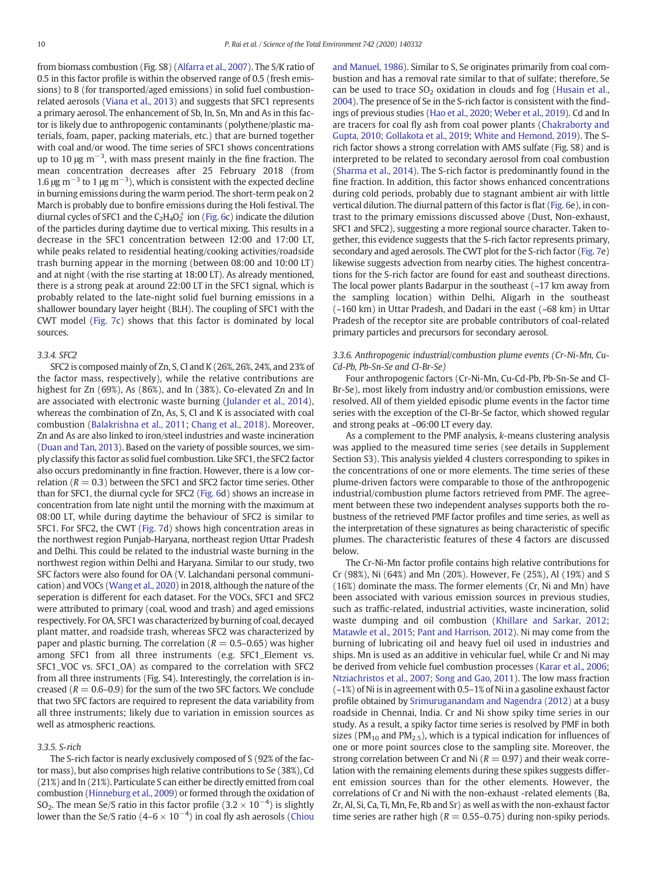from biomass combustion (Fig. S8) (Alfarra et al., 2007). The S/K ratio of 0.5 in this factor profile is within the observed range of 0.5 (fresh emissions) to 8 (for transported/aged emissions) in solid fuel combustionrelated aerosols (Viana et al., 2013) and suggests that SFC1 represents a primary aerosol. The enhancement of Sb, In, Sn, Mn and As in this factor is likely due to anthropogenic contaminants (polythene/plastic materials, foam, paper, packing materials, etc.) that are burned together with coal and/or wood. The time series of SFC1 shows concentrations up to 10  $\mu$ g m<sup>-3</sup>, with mass present mainly in the fine fraction. The mean concentration decreases after 25 February 2018 (from 1.6 μg m<sup>-3</sup> to 1 μg m<sup>-3</sup>), which is consistent with the expected decline in burning emissions during the warm period. The short-term peak on 2 March is probably due to bonfire emissions during the Holi festival. The diurnal cycles of SFC1 and the  $C_2H_4O_2^+$  ion (Fig. 6c) indicate the dilution of the particles during daytime due to vertical mixing. This results in a decrease in the SFC1 concentration between 12:00 and 17:00 LT, while peaks related to residential heating/cooking activities/roadside trash burning appear in the morning (between 08:00 and 10:00 LT) and at night (with the rise starting at 18:00 LT). As already mentioned, there is a strong peak at around 22:00 LT in the SFC1 signal, which is probably related to the late-night solid fuel burning emissions in a shallower boundary layer height (BLH). The coupling of SFC1 with the CWT model (Fig. 7c) shows that this factor is dominated by local sources.

# *3.3.4. SFC2*

SFC2 is composed mainly of Zn, S, Cl and K (26%, 26%, 24%, and 23% of the factor mass, respectively), while the relative contributions are highest for Zn (69%), As (86%), and In (38%). Co-elevated Zn and In are associated with electronic waste burning (Julander et al., 2014), whereas the combination of Zn, As, S, Cl and K is associated with coal combustion (Balakrishna et al., 2011; Chang et al., 2018). Moreover, Zn and As are also linked to iron/steel industries and waste incineration (Duan and Tan, 2013). Based on the variety of possible sources, we simply classify this factor as solid fuel combustion. Like SFC1, the SFC2 factor also occurs predominantly in fine fraction. However, there is a low correlation ( $R = 0.3$ ) between the SFC1 and SFC2 factor time series. Other than for SFC1, the diurnal cycle for SFC2 (Fig. 6d) shows an increase in concentration from late night until the morning with the maximum at 08:00 LT, while during daytime the behaviour of SFC2 is similar to SFC1. For SFC2, the CWT (Fig. 7d) shows high concentration areas in the northwest region Punjab-Haryana, northeast region Uttar Pradesh and Delhi. This could be related to the industrial waste burning in the northwest region within Delhi and Haryana. Similar to our study, two SFC factors were also found for OA (V. Lalchandani personal communication) and VOCs (Wang et al., 2020) in 2018, although the nature of the seperation is different for each dataset. For the VOCs, SFC1 and SFC2 were attributed to primary (coal, wood and trash) and aged emissions respectively. For OA, SFC1 was characterized by burning of coal, decayed plant matter, and roadside trash, whereas SFC2 was characterized by paper and plastic burning. The correlation ( $R = 0.5$ –0.65) was higher among SFC1 from all three instruments (e.g. SFC1\_Element vs. SFC1\_VOC vs. SFC1\_OA) as compared to the correlation with SFC2 from all three instruments (Fig. S4). Interestingly, the correlation is increased  $(R = 0.6{\text -}0.9)$  for the sum of the two SFC factors. We conclude that two SFC factors are required to represent the data variability from all three instruments; likely due to variation in emission sources as well as atmospheric reactions.

# *3.3.5. S-rich*

The S-rich factor is nearly exclusively composed of S (92% of the factor mass), but also comprises high relative contributions to Se (38%), Cd (21%) and In (21%). Particulate S can either be directly emitted from coal combustion (Hinneburg et al., 2009) or formed through the oxidation of SO<sub>2</sub>. The mean Se/S ratio in this factor profile (3.2  $\times$  10<sup>-4</sup>) is slightly lower than the Se/S ratio (4–6  $\times$  10<sup>-4</sup>) in coal fly ash aerosols (Chiou

and Manuel, 1986). Similar to S, Se originates primarily from coal combustion and has a removal rate similar to that of sulfate; therefore, Se can be used to trace  $SO<sub>2</sub>$  oxidation in clouds and fog (Husain et al., 2004). The presence of Se in the S-rich factor is consistent with the findings of previous studies (Hao et al., 2020; Weber et al., 2019). Cd and In are tracers for coal fly ash from coal power plants (Chakraborty and Gupta, 2010; Gollakota et al., 2019; White and Hemond, 2019). The Srich factor shows a strong correlation with AMS sulfate (Fig. S8) and is interpreted to be related to secondary aerosol from coal combustion (Sharma et al., 2014). The S-rich factor is predominantly found in the fine fraction. In addition, this factor shows enhanced concentrations during cold periods, probably due to stagnant ambient air with little vertical dilution. The diurnal pattern of this factor is flat (Fig. 6e), in contrast to the primary emissions discussed above (Dust, Non-exhaust, SFC1 and SFC2), suggesting a more regional source character. Taken together, this evidence suggests that the S-rich factor represents primary, secondary and aged aerosols. The CWT plot for the S-rich factor (Fig. 7e) likewise suggests advection from nearby cities. The highest concentrations for the S-rich factor are found for east and southeast directions. The local power plants Badarpur in the southeast  $(-17 \text{ km})$  away from the sampling location) within Delhi, Aligarh in the southeast (~160 km) in Uttar Pradesh, and Dadari in the east (~68 km) in Uttar Pradesh of the receptor site are probable contributors of coal-related primary particles and precursors for secondary aerosol.

# *3.3.6. Anthropogenic industrial/combustion plume events (Cr-Ni-Mn, Cu-Cd-Pb, Pb-Sn-Se and Cl-Br-Se)*

Four anthropogenic factors (Cr-Ni-Mn, Cu-Cd-Pb, Pb-Sn-Se and Cl-Br-Se), most likely from industry and/or combustion emissions, were resolved. All of them yielded episodic plume events in the factor time series with the exception of the Cl-Br-Se factor, which showed regular and strong peaks at ~06:00 LT every day.

As a complement to the PMF analysis, *k*-means clustering analysis was applied to the measured time series (see details in Supplement Section S3). This analysis yielded 4 clusters corresponding to spikes in the concentrations of one or more elements. The time series of these plume-driven factors were comparable to those of the anthropogenic industrial/combustion plume factors retrieved from PMF. The agreement between these two independent analyses supports both the robustness of the retrieved PMF factor profiles and time series, as well as the interpretation of these signatures as being characteristic of specific plumes. The characteristic features of these 4 factors are discussed below.

The Cr-Ni-Mn factor profile contains high relative contributions for Cr (98%), Ni (64%) and Mn (20%). However, Fe (25%), Al (19%) and S (16%) dominate the mass. The former elements (Cr, Ni and Mn) have been associated with various emission sources in previous studies, such as traffic-related, industrial activities, waste incineration, solid waste dumping and oil combustion (Khillare and Sarkar, 2012; Matawle et al., 2015; Pant and Harrison, 2012). Ni may come from the burning of lubricating oil and heavy fuel oil used in industries and ships. Mn is used as an additive in vehicular fuel, while Cr and Ni may be derived from vehicle fuel combustion processes (Karar et al., 2006; Ntziachristos et al., 2007; Song and Gao, 2011). The low mass fraction (~1%) of Ni is in agreement with 0.5–1% of Ni in a gasoline exhaust factor profile obtained by Srimuruganandam and Nagendra (2012) at a busy roadside in Chennai, India. Cr and Ni show spiky time series in our study. As a result, a spiky factor time series is resolved by PMF in both sizes (PM<sub>10</sub> and PM<sub>2.5</sub>), which is a typical indication for influences of one or more point sources close to the sampling site. Moreover, the strong correlation between Cr and Ni  $(R = 0.97)$  and their weak correlation with the remaining elements during these spikes suggests different emission sources than for the other elements. However, the correlations of Cr and Ni with the non-exhaust -related elements (Ba, Zr, Al, Si, Ca, Ti, Mn, Fe, Rb and Sr) as well as with the non-exhaust factor time series are rather high ( $R = 0.55 - 0.75$ ) during non-spiky periods.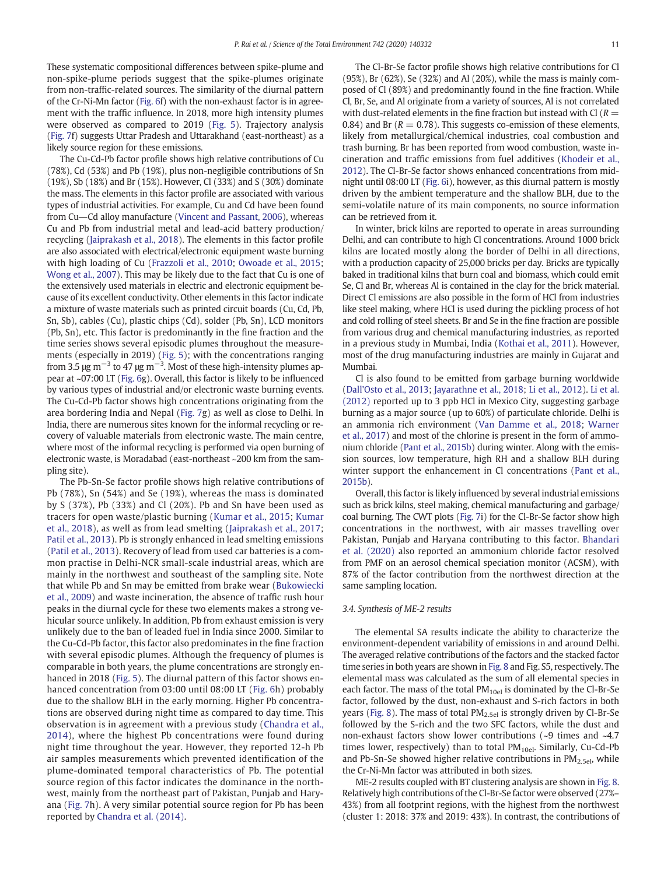These systematic compositional differences between spike-plume and non-spike-plume periods suggest that the spike-plumes originate from non-traffic-related sources. The similarity of the diurnal pattern of the Cr-Ni-Mn factor (Fig. 6f) with the non-exhaust factor is in agreement with the traffic influence. In 2018, more high intensity plumes were observed as compared to 2019 (Fig. 5). Trajectory analysis (Fig. 7f) suggests Uttar Pradesh and Uttarakhand (east-northeast) as a likely source region for these emissions.

The Cu-Cd-Pb factor profile shows high relative contributions of Cu (78%), Cd (53%) and Pb (19%), plus non-negligible contributions of Sn (19%), Sb (18%) and Br (15%). However, Cl (33%) and S (30%) dominate the mass. The elements in this factor profile are associated with various types of industrial activities. For example, Cu and Cd have been found from Cu-Cd alloy manufacture (Vincent and Passant, 2006), whereas Cu and Pb from industrial metal and lead-acid battery production/ recycling (Jaiprakash et al., 2018). The elements in this factor profile are also associated with electrical/electronic equipment waste burning with high loading of Cu (Frazzoli et al., 2010; Owoade et al., 2015; Wong et al., 2007). This may be likely due to the fact that Cu is one of the extensively used materials in electric and electronic equipment because of its excellent conductivity. Other elements in this factor indicate a mixture of waste materials such as printed circuit boards (Cu, Cd, Pb, Sn, Sb), cables (Cu), plastic chips (Cd), solder (Pb, Sn), LCD monitors (Pb, Sn), etc. This factor is predominantly in the fine fraction and the time series shows several episodic plumes throughout the measurements (especially in 2019) (Fig. 5); with the concentrations ranging from 3.5 μg m<sup>-3</sup> to 47 μg m<sup>-3</sup>. Most of these high-intensity plumes appear at ~07:00 LT (Fig. 6g). Overall, this factor is likely to be influenced by various types of industrial and/or electronic waste burning events. The Cu-Cd-Pb factor shows high concentrations originating from the area bordering India and Nepal (Fig. 7g) as well as close to Delhi. In India, there are numerous sites known for the informal recycling or recovery of valuable materials from electronic waste. The main centre, where most of the informal recycling is performed via open burning of electronic waste, is Moradabad (east-northeast ~200 km from the sampling site).

The Pb-Sn-Se factor profile shows high relative contributions of Pb (78%), Sn (54%) and Se (19%), whereas the mass is dominated by S (37%), Pb (33%) and Cl (20%). Pb and Sn have been used as tracers for open waste/plastic burning (Kumar et al., 2015; Kumar et al., 2018), as well as from lead smelting (Jaiprakash et al., 2017; Patil et al., 2013). Pb is strongly enhanced in lead smelting emissions (Patil et al., 2013). Recovery of lead from used car batteries is a common practise in Delhi-NCR small-scale industrial areas, which are mainly in the northwest and southeast of the sampling site. Note that while Pb and Sn may be emitted from brake wear (Bukowiecki et al., 2009) and waste incineration, the absence of traffic rush hour peaks in the diurnal cycle for these two elements makes a strong vehicular source unlikely. In addition, Pb from exhaust emission is very unlikely due to the ban of leaded fuel in India since 2000. Similar to the Cu-Cd-Pb factor, this factor also predominates in the fine fraction with several episodic plumes. Although the frequency of plumes is comparable in both years, the plume concentrations are strongly enhanced in 2018 (Fig. 5). The diurnal pattern of this factor shows enhanced concentration from 03:00 until 08:00 LT (Fig. 6h) probably due to the shallow BLH in the early morning. Higher Pb concentrations are observed during night time as compared to day time. This observation is in agreement with a previous study (Chandra et al., 2014), where the highest Pb concentrations were found during night time throughout the year. However, they reported 12-h Pb air samples measurements which prevented identification of the plume-dominated temporal characteristics of Pb. The potential source region of this factor indicates the dominance in the northwest, mainly from the northeast part of Pakistan, Punjab and Haryana (Fig. 7h). A very similar potential source region for Pb has been reported by Chandra et al. (2014).

The Cl-Br-Se factor profile shows high relative contributions for Cl (95%), Br (62%), Se (32%) and Al (20%), while the mass is mainly composed of Cl (89%) and predominantly found in the fine fraction. While Cl, Br, Se, and Al originate from a variety of sources, Al is not correlated with dust-related elements in the fine fraction but instead with Cl  $(R =$ 0.84) and Br ( $R = 0.78$ ). This suggests co-emission of these elements, likely from metallurgical/chemical industries, coal combustion and trash burning. Br has been reported from wood combustion, waste incineration and traffic emissions from fuel additives (Khodeir et al., 2012). The Cl-Br-Se factor shows enhanced concentrations from midnight until 08:00 LT (Fig. 6i), however, as this diurnal pattern is mostly driven by the ambient temperature and the shallow BLH, due to the semi-volatile nature of its main components, no source information can be retrieved from it.

In winter, brick kilns are reported to operate in areas surrounding Delhi, and can contribute to high Cl concentrations. Around 1000 brick kilns are located mostly along the border of Delhi in all directions, with a production capacity of 25,000 bricks per day. Bricks are typically baked in traditional kilns that burn coal and biomass, which could emit Se, Cl and Br, whereas Al is contained in the clay for the brick material. Direct Cl emissions are also possible in the form of HCl from industries like steel making, where HCl is used during the pickling process of hot and cold rolling of steel sheets. Br and Se in the fine fraction are possible from various drug and chemical manufacturing industries, as reported in a previous study in Mumbai, India (Kothai et al., 2011). However, most of the drug manufacturing industries are mainly in Gujarat and Mumbai.

Cl is also found to be emitted from garbage burning worldwide (Dall'Osto et al., 2013; Jayarathne et al., 2018; Li et al., 2012). Li et al. (2012) reported up to 3 ppb HCl in Mexico City, suggesting garbage burning as a major source (up to 60%) of particulate chloride. Delhi is an ammonia rich environment (Van Damme et al., 2018; Warner et al., 2017) and most of the chlorine is present in the form of ammonium chloride (Pant et al., 2015b) during winter. Along with the emission sources, low temperature, high RH and a shallow BLH during winter support the enhancement in Cl concentrations (Pant et al., 2015b).

Overall, this factor is likely influenced by several industrial emissions such as brick kilns, steel making, chemical manufacturing and garbage/ coal burning. The CWT plots (Fig. 7i) for the Cl-Br-Se factor show high concentrations in the northwest, with air masses travelling over Pakistan, Punjab and Haryana contributing to this factor. Bhandari et al. (2020) also reported an ammonium chloride factor resolved from PMF on an aerosol chemical speciation monitor (ACSM), with 87% of the factor contribution from the northwest direction at the same sampling location.

#### *3.4. Synthesis of ME-2 results*

The elemental SA results indicate the ability to characterize the environment-dependent variability of emissions in and around Delhi. The averaged relative contributions of the factors and the stacked factor time series in both years are shown in Fig. 8 and Fig. S5, respectively. The elemental mass was calculated as the sum of all elemental species in each factor. The mass of the total  $PM_{10el}$  is dominated by the Cl-Br-Se factor, followed by the dust, non-exhaust and S-rich factors in both years (Fig. 8). The mass of total  $PM_{2.5el}$  is strongly driven by Cl-Br-Se followed by the S-rich and the two SFC factors, while the dust and non-exhaust factors show lower contributions (~9 times and ~4.7 times lower, respectively) than to total  $PM_{10el}$ . Similarly, Cu-Cd-Pb and Pb-Sn-Se showed higher relative contributions in  $PM<sub>2.5e1</sub>$ , while the Cr-Ni-Mn factor was attributed in both sizes.

ME-2 results coupled with BT clustering analysis are shown in Fig. 8. Relatively high contributions of the Cl-Br-Se factor were observed (27%– 43%) from all footprint regions, with the highest from the northwest (cluster 1: 2018: 37% and 2019: 43%). In contrast, the contributions of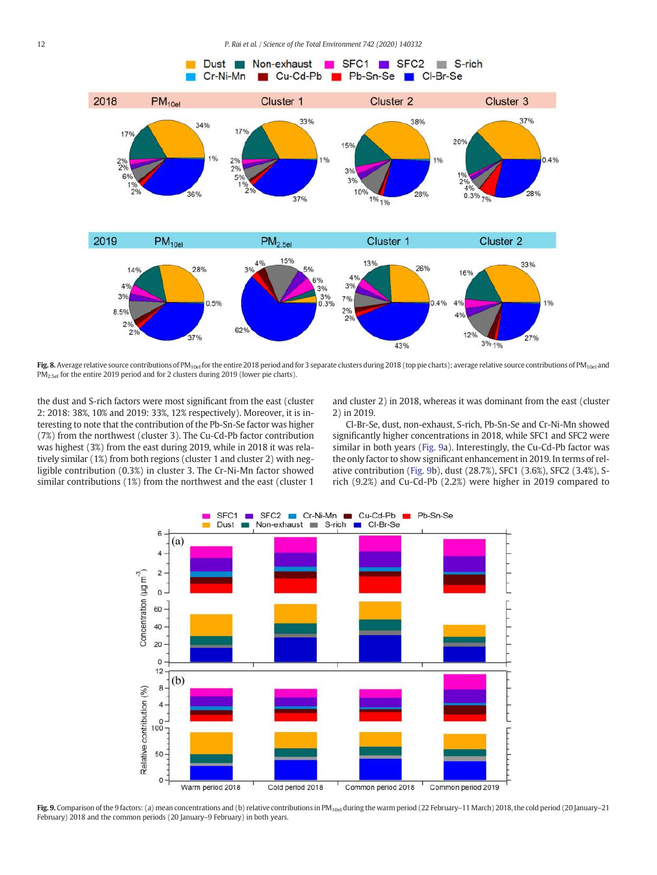

Fig. 8. Average relative source contributions of PM<sub>10el</sub> for the entire 2018 period and for 3 separate clusters during 2018 (top pie charts); average relative source contributions of PM<sub>10el</sub> and PM<sub>2.5el</sub> for the entire 2019 period and for 2 clusters during 2019 (lower pie charts).

the dust and S-rich factors were most significant from the east (cluster 2: 2018: 38%, 10% and 2019: 33%, 12% respectively). Moreover, it is interesting to note that the contribution of the Pb-Sn-Se factor was higher (7%) from the northwest (cluster 3). The Cu-Cd-Pb factor contribution was highest (3%) from the east during 2019, while in 2018 it was relatively similar (1%) from both regions (cluster 1 and cluster 2) with negligible contribution (0.3%) in cluster 3. The Cr-Ni-Mn factor showed similar contributions (1%) from the northwest and the east (cluster 1

and cluster 2) in 2018, whereas it was dominant from the east (cluster 2) in 2019.

Cl-Br-Se, dust, non-exhaust, S-rich, Pb-Sn-Se and Cr-Ni-Mn showed significantly higher concentrations in 2018, while SFC1 and SFC2 were similar in both years (Fig. 9a). Interestingly, the Cu-Cd-Pb factor was the only factor to show significant enhancement in 2019. In terms of relative contribution (Fig. 9b), dust (28.7%), SFC1 (3.6%), SFC2 (3.4%), Srich (9.2%) and Cu-Cd-Pb (2.2%) were higher in 2019 compared to



Fig. 9. Comparison of the 9 factors: (a) mean concentrations and (b) relative contributions in PM<sub>10el</sub> during the warm period (22 February–11 March) 2018, the cold period (20 January–21 February) 2018 and the common periods (20 January–9 February) in both years.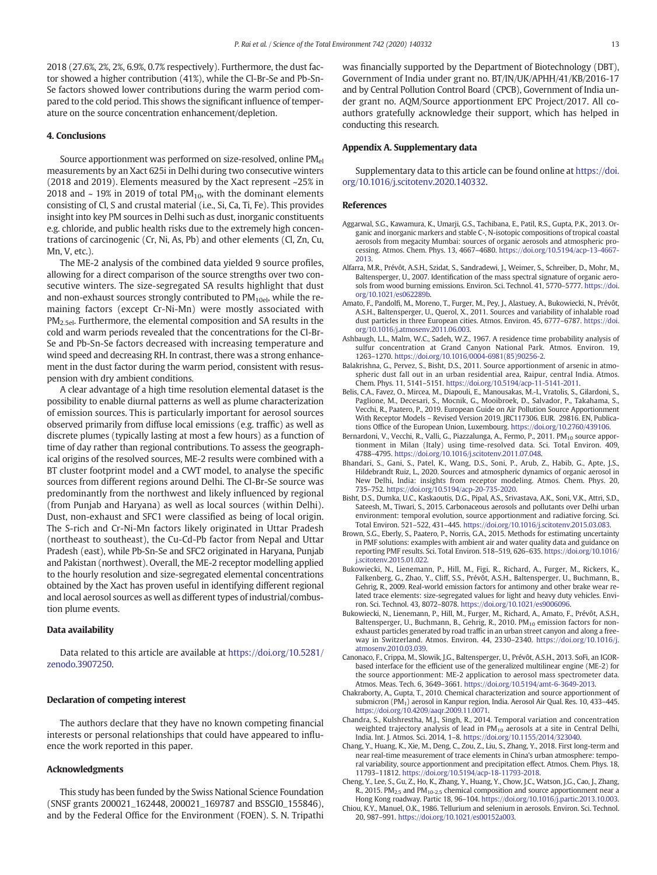2018 (27.6%, 2%, 2%, 6.9%, 0.7% respectively). Furthermore, the dust factor showed a higher contribution (41%), while the Cl-Br-Se and Pb-Sn-Se factors showed lower contributions during the warm period compared to the cold period. This shows the significant influence of temperature on the source concentration enhancement/depletion.

### 4. Conclusions

Source apportionment was performed on size-resolved, online PM<sub>el</sub> measurements by an Xact 625i in Delhi during two consecutive winters (2018 and 2019). Elements measured by the Xact represent ~25% in 2018 and  $\sim$  19% in 2019 of total PM<sub>10</sub>, with the dominant elements consisting of Cl, S and crustal material (i.e., Si, Ca, Ti, Fe). This provides insight into key PM sources in Delhi such as dust, inorganic constituents e.g. chloride, and public health risks due to the extremely high concentrations of carcinogenic (Cr, Ni, As, Pb) and other elements (Cl, Zn, Cu, Mn, V, etc.).

The ME-2 analysis of the combined data yielded 9 source profiles, allowing for a direct comparison of the source strengths over two consecutive winters. The size-segregated SA results highlight that dust and non-exhaust sources strongly contributed to  $PM_{10el}$ , while the remaining factors (except Cr-Ni-Mn) were mostly associated with  $PM<sub>2.5el</sub>$ . Furthermore, the elemental composition and SA results in the cold and warm periods revealed that the concentrations for the Cl-Br-Se and Pb-Sn-Se factors decreased with increasing temperature and wind speed and decreasing RH. In contrast, there was a strong enhancement in the dust factor during the warm period, consistent with resuspension with dry ambient conditions.

A clear advantage of a high time resolution elemental dataset is the possibility to enable diurnal patterns as well as plume characterization of emission sources. This is particularly important for aerosol sources observed primarily from diffuse local emissions (e.g. traffic) as well as discrete plumes (typically lasting at most a few hours) as a function of time of day rather than regional contributions. To assess the geographical origins of the resolved sources, ME-2 results were combined with a BT cluster footprint model and a CWT model, to analyse the specific sources from different regions around Delhi. The Cl-Br-Se source was predominantly from the northwest and likely influenced by regional (from Punjab and Haryana) as well as local sources (within Delhi). Dust, non-exhaust and SFC1 were classified as being of local origin. The S-rich and Cr-Ni-Mn factors likely originated in Uttar Pradesh (northeast to southeast), the Cu-Cd-Pb factor from Nepal and Uttar Pradesh (east), while Pb-Sn-Se and SFC2 originated in Haryana, Punjab and Pakistan (northwest). Overall, the ME-2 receptor modelling applied to the hourly resolution and size-segregated elemental concentrations obtained by the Xact has proven useful in identifying different regional and local aerosol sources as well as different types of industrial/combustion plume events.

#### Data availability

Data related to this article are available at https://doi.org/10.5281/ zenodo.3907250.

# Declaration of competing interest

The authors declare that they have no known competing financial interests or personal relationships that could have appeared to influence the work reported in this paper.

#### Acknowledgments

This study has been funded by the Swiss National Science Foundation (SNSF grants 200021\_162448, 200021\_169787 and BSSGI0\_155846), and by the Federal Office for the Environment (FOEN). S. N. Tripathi

was financially supported by the Department of Biotechnology (DBT), Government of India under grant no. BT/IN/UK/APHH/41/KB/2016-17 and by Central Pollution Control Board (CPCB), Government of India under grant no. AQM/Source apportionment EPC Project/2017. All coauthors gratefully acknowledge their support, which has helped in conducting this research.

# Appendix A. Supplementary data

Supplementary data to this article can be found online at https://doi. org/10.1016/j.scitotenv.2020.140332.

#### References

- Aggarwal, S.G., Kawamura, K., Umarji, G.S., Tachibana, E., Patil, R.S., Gupta, P.K., 2013. Organic and inorganic markers and stable C-, N-isotopic compositions of tropical coastal aerosols from megacity Mumbai: sources of organic aerosols and atmospheric processing. Atmos. Chem. Phys. 13, 4667–4680. https://doi.org/10.5194/acp-13-4667- 2013.
- Alfarra, M.R., Prévôt, A.S.H., Szidat, S., Sandradewi, J., Weimer, S., Schreiber, D., Mohr, M., Baltensperger, U., 2007. Identification of the mass spectral signature of organic aerosols from wood burning emissions. Environ. Sci. Technol. 41, 5770–5777. https://doi. org/10.1021/es062289b.
- Amato, F., Pandolfi, M., Moreno, T., Furger, M., Pey, J., Alastuey, A., Bukowiecki, N., Prévôt, A.S.H., Baltensperger, U., Querol, X., 2011. Sources and variability of inhalable road dust particles in three European cities. Atmos. Environ. 45, 6777–6787. https://doi. org/10.1016/j.atmosenv.2011.06.003.
- Ashbaugh, L.L., Malm, W.C., Sadeh, W.Z., 1967. A residence time probability analysis of sulfur concentration at Grand Canyon National Park. Atmos. Environ. 19, 1263–1270. https://doi.org/10.1016/0004-6981(85)90256-2.
- Balakrishna, G., Pervez, S., Bisht, D.S., 2011. Source apportionment of arsenic in atmospheric dust fall out in an urban residential area, Raipur, central India. Atmos. Chem. Phys. 11, 5141–5151. https://doi.org/10.5194/acp-11-5141-2011.
- Belis, C.A., Favez, O., Mircea, M., Diapouli, E., Manousakas, M.-I., Vratolis, S., Gilardoni, S., Paglione, M., Decesari, S., Mocnik, G., Mooibroek, D., Salvador, P., Takahama, S., Vecchi, R., Paatero, P., 2019. European Guide on Air Pollution Source Apportionment With Receptor Models – Revised Version 2019. JRC117306. EUR. 29816. EN, Publications Office of the European Union, Luxembourg. https://doi.org/10.2760/439106.
- Bernardoni, V., Vecchi, R., Valli, G., Piazzalunga, A., Fermo, P., 2011. PM<sub>10</sub> source apportionment in Milan (Italy) using time-resolved data. Sci. Total Environ. 409, 4788–4795. https://doi.org/10.1016/j.scitotenv.2011.07.048.
- Bhandari, S., Gani, S., Patel, K., Wang, D.S., Soni, P., Arub, Z., Habib, G., Apte, J.S., Hildebrandt Ruiz, L., 2020. Sources and atmospheric dynamics of organic aerosol in New Delhi, India: insights from receptor modeling. Atmos. Chem. Phys. 20, 735–752. https://doi.org/10.5194/acp-20-735-2020.
- Bisht, D.S., Dumka, U.C., Kaskaoutis, D.G., Pipal, A.S., Srivastava, A.K., Soni, V.K., Attri, S.D., Sateesh, M., Tiwari, S., 2015. Carbonaceous aerosols and pollutants over Delhi urban environment: temporal evolution, source apportionment and radiative forcing. Sci. Total Environ. 521–522, 431–445. https://doi.org/10.1016/j.scitotenv.2015.03.083.
- Brown, S.G., Eberly, S., Paatero, P., Norris, G.A., 2015. Methods for estimating uncertainty in PMF solutions: examples with ambient air and water quality data and guidance on reporting PMF results. Sci. Total Environ. 518–519, 626–635. https://doi.org/10.1016/ j.scitotenv.2015.01.022.
- Bukowiecki, N., Lienemann, P., Hill, M., Figi, R., Richard, A., Furger, M., Rickers, K., Falkenberg, G., Zhao, Y., Cliff, S.S., Prévôt, A.S.H., Baltensperger, U., Buchmann, B., Gehrig, R., 2009. Real-world emission factors for antimony and other brake wear related trace elements: size-segregated values for light and heavy duty vehicles. Environ. Sci. Technol. 43, 8072–8078. https://doi.org/10.1021/es9006096.
- Bukowiecki, N., Lienemann, P., Hill, M., Furger, M., Richard, A., Amato, F., Prévôt, A.S.H., Baltensperger, U., Buchmann, B., Gehrig, R., 2010. PM<sub>10</sub> emission factors for nonexhaust particles generated by road traffic in an urban street canyon and along a freeway in Switzerland. Atmos. Environ. 44, 2330–2340. https://doi.org/10.1016/j. atmosenv.2010.03.039.
- Canonaco, F., Crippa, M., Slowik, J.G., Baltensperger, U., Prévôt, A.S.H., 2013. SoFi, an IGORbased interface for the efficient use of the generalized multilinear engine (ME-2) for the source apportionment: ME-2 application to aerosol mass spectrometer data. Atmos. Meas. Tech. 6, 3649–3661. https://doi.org/10.5194/amt-6-3649-2013.
- Chakraborty, A., Gupta, T., 2010. Chemical characterization and source apportionment of submicron (PM1) aerosol in Kanpur region, India. Aerosol Air Qual. Res. 10, 433–445. https://doi.org/10.4209/aaqr.2009.11.0071.
- Chandra, S., Kulshrestha, M.J., Singh, R., 2014. Temporal variation and concentration weighted trajectory analysis of lead in  $PM_{10}$  aerosols at a site in Central Delhi, India. Int. J. Atmos. Sci. 2014, 1–8. https://doi.org/10.1155/2014/323040.
- Chang, Y., Huang, K., Xie, M., Deng, C., Zou, Z., Liu, S., Zhang, Y., 2018. First long-term and near real-time measurement of trace elements in China's urban atmosphere: temporal variability, source apportionment and precipitation effect. Atmos. Chem. Phys. 18, 11793–11812. https://doi.org/10.5194/acp-18-11793-2018.
- Cheng, Y., Lee, S., Gu, Z., Ho, K., Zhang, Y., Huang, Y., Chow, J.C., Watson, J.G., Cao, J., Zhang, R., 2015. PM<sub>2.5</sub> and PM<sub>10-2.5</sub> chemical composition and source apportionment near a Hong Kong roadway. Partic 18, 96–104. https://doi.org/10.1016/j.partic.2013.10.003.
- Chiou, K.Y., Manuel, O.K., 1986. Tellurium and selenium in aerosols. Environ. Sci. Technol. 20, 987–991. https://doi.org/10.1021/es00152a003.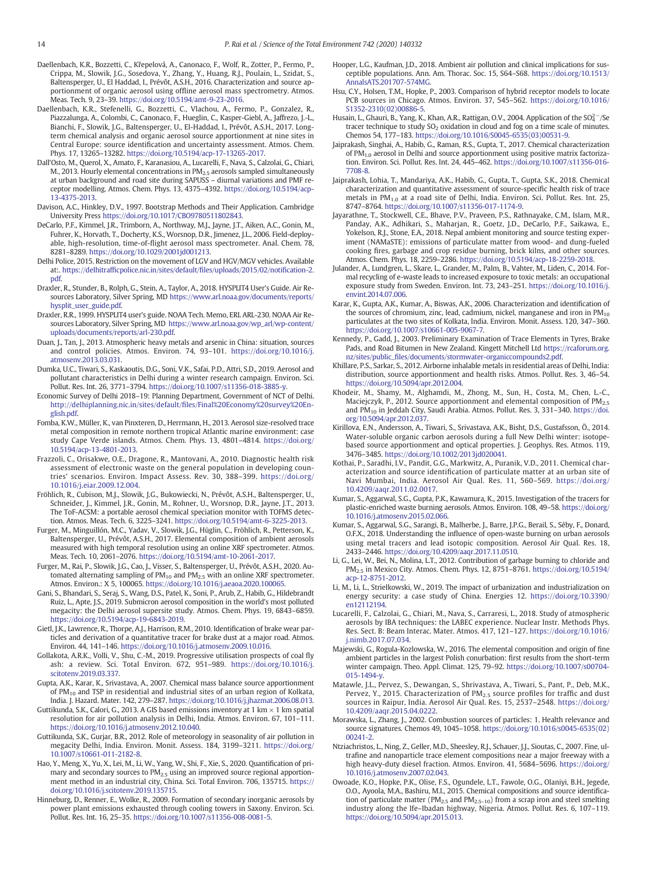- Daellenbach, K.R., Bozzetti, C., Křepelová, A., Canonaco, F., Wolf, R., Zotter, P., Fermo, P., Crippa, M., Slowik, J.G., Sosedova, Y., Zhang, Y., Huang, R.J., Poulain, L., Szidat, S., Baltensperger, U., El Haddad, I., Prévôt, A.S.H., 2016. Characterization and source apportionment of organic aerosol using offline aerosol mass spectrometry. Atmos. Meas. Tech. 9, 23–39. https://doi.org/10.5194/amt-9-23-2016.
- Daellenbach, K.R., Stefenelli, G., Bozzetti, C., Vlachou, A., Fermo, P., Gonzalez, R., Piazzalunga, A., Colombi, C., Canonaco, F., Hueglin, C., Kasper-Giebl, A., Jaffrezo, J.-L., Bianchi, F., Slowik, J.G., Baltensperger, U., El-Haddad, I., Prévôt, A.S.H., 2017. Longterm chemical analysis and organic aerosol source apportionment at nine sites in Central Europe: source identification and uncertainty assessment. Atmos. Chem. Phys. 17, 13265–13282. https://doi.org/10.5194/acp-17-13265-2017.
- Dall'Osto, M., Querol, X., Amato, F., Karanasiou, A., Lucarelli, F., Nava, S., Calzolai, G., Chiari, M., 2013. Hourly elemental concentrations in PM2.5 aerosols sampled simultaneously at urban background and road site during SAPUSS – diurnal variations and PMF receptor modelling. Atmos. Chem. Phys. 13, 4375–4392. https://doi.org/10.5194/acp-13-4375-2013.
- Davison, A.C., Hinkley, D.V., 1997. Bootstrap Methods and Their Application. Cambridge University Press https://doi.org/10.1017/CBO9780511802843.
- DeCarlo, P.F., Kimmel, J.R., Trimborn, A., Northway, M.J., Jayne, J.T., Aiken, A.C., Gonin, M., Fuhrer, K., Horvath, T., Docherty, K.S., Worsnop, D.R., Jimenez, J.L., 2006. Field-deployable, high-resolution, time-of-flight aerosol mass spectrometer. Anal. Chem. 78, 8281–8289. https://doi.org/10.1029/2001jd001213.
- Delhi Police, 2015. Restriction on the movement of LGV and HGV/MGV vehicles. Available at:. https://delhitrafficpolice.nic.in/sites/default/files/uploads/2015/02/notification-2. pdf.
- Draxler, R., Stunder, B., Rolph, G., Stein, A., Taylor, A., 2018. HYSPLIT4 User's Guide. Air Resources Laboratory, Silver Spring, MD https://www.arl.noaa.gov/documents/reports/ hysplit\_user\_guide.pdf.
- Draxler, R.R., 1999. HYSPLIT4 user's guide. NOAA Tech. Memo, ERL ARL-230. NOAA Air Resources Laboratory, Silver Spring, MD https://www.arl.noaa.gov/wp\_arl/wp-content/ uploads/documents/reports/arl-230.pdf.
- Duan, J., Tan, J., 2013. Atmospheric heavy metals and arsenic in China: situation, sources and control policies. Atmos. Environ. 74, 93–101. https://doi.org/10.1016/j. atmosenv.2013.03.031.
- Dumka, U.C., Tiwari, S., Kaskaoutis, D.G., Soni, V.K., Safai, P.D., Attri, S.D., 2019. Aerosol and pollutant characteristics in Delhi during a winter research campaign. Environ. Sci. Pollut. Res. Int. 26, 3771–3794. https://doi.org/10.1007/s11356-018-3885-y.
- Economic Survey of Delhi 2018–19: Planning Department, Government of NCT of Delhi. http://delhiplanning.nic.in/sites/default/files/Final%20Economy%20survey%20English.pdf.
- Fomba, K.W., Müller, K., van Pinxteren, D., Herrmann, H., 2013. Aerosol size-resolved trace metal composition in remote northern tropical Atlantic marine environment: case study Cape Verde islands. Atmos. Chem. Phys. 13, 4801–4814. https://doi.org/ 10.5194/acp-13-4801-2013.
- Frazzoli, C., Orisakwe, O.E., Dragone, R., Mantovani, A., 2010. Diagnostic health risk assessment of electronic waste on the general population in developing countries' scenarios. Environ. Impact Assess. Rev. 30, 388–399. https://doi.org/ 10.1016/j.eiar.2009.12.004.
- Fröhlich, R., Cubison, M.J., Slowik, J.G., Bukowiecki, N., Prévôt, A.S.H., Baltensperger, U., Schneider, J., Kimmel, J.R., Gonin, M., Rohner, U., Worsnop, D.R., Jayne, J.T., 2013. The ToF-ACSM: a portable aerosol chemical speciation monitor with TOFMS detection. Atmos. Meas. Tech. 6, 3225–3241. https://doi.org/10.5194/amt-6-3225-2013.
- Furger, M., Minguillón, M.C., Yadav, V., Slowik, J.G., Hüglin, C., Fröhlich, R., Petterson, K., Baltensperger, U., Prévôt, A.S.H., 2017. Elemental composition of ambient aerosols measured with high temporal resolution using an online XRF spectrometer. Atmos. Meas. Tech. 10, 2061–2076. https://doi.org/10.5194/amt-10-2061-2017.
- Furger, M., Rai, P., Slowik, J.G., Cao, J., Visser, S., Baltensperger, U., Prévôt, A.S.H., 2020. Automated alternating sampling of  $PM_{10}$  and  $PM_{2.5}$  with an online XRF spectrometer. Atmos. Environ.: X 5, 100065. https://doi.org/10.1016/j.aeaoa.2020.100065.
- Gani, S., Bhandari, S., Seraj, S., Wang, D.S., Patel, K., Soni, P., Arub, Z., Habib, G., Hildebrandt Ruiz, L., Apte, J.S., 2019. Submicron aerosol composition in the world's most polluted megacity: the Delhi aerosol supersite study. Atmos. Chem. Phys. 19, 6843–6859. https://doi.org/10.5194/acp-19-6843-2019.
- Gietl, J.K., Lawrence, R., Thorpe, A.J., Harrison, R.M., 2010. Identification of brake wear particles and derivation of a quantitative tracer for brake dust at a major road. Atmos. Environ. 44, 141–146. https://doi.org/10.1016/j.atmosenv.2009.10.016.
- Gollakota, A.R.K., Volli, V., Shu, C.-M., 2019. Progressive utilisation prospects of coal fly ash: a review. Sci. Total Environ. 672, 951–989. https://doi.org/10.1016/j. scitotenv.2019.03.337.
- Gupta, A.K., Karar, K., Srivastava, A., 2007. Chemical mass balance source apportionment of  $PM_{10}$  and TSP in residential and industrial sites of an urban region of Kolkata, India. J. Hazard. Mater. 142, 279–287. https://doi.org/10.1016/j.jhazmat.2006.08.013.
- Guttikunda, S.K., Calori, G., 2013. A GIS based emissions inventory at 1 km  $\times$  1 km spatial resolution for air pollution analysis in Delhi, India. Atmos. Environ. 67, 101–111. https://doi.org/10.1016/j.atmosenv.2012.10.040.
- Guttikunda, S.K., Gurjar, B.R., 2012. Role of meteorology in seasonality of air pollution in megacity Delhi, India. Environ. Monit. Assess. 184, 3199–3211. https://doi.org/ 10.1007/s10661-011-2182-8.
- Hao, Y., Meng, X., Yu, X., Lei, M., Li, W., Yang, W., Shi, F., Xie, S., 2020. Quantification of primary and secondary sources to  $PM<sub>2.5</sub>$  using an improved source regional apportionment method in an industrial city, China. Sci. Total Environ. 706, 135715. https:// doi.org/10.1016/j.scitotenv.2019.135715.
- Hinneburg, D., Renner, E., Wolke, R., 2009. Formation of secondary inorganic aerosols by power plant emissions exhausted through cooling towers in Saxony. Environ. Sci. Pollut. Res. Int. 16, 25–35. https://doi.org/10.1007/s11356-008-0081-5.
- Hooper, L.G., Kaufman, J.D., 2018. Ambient air pollution and clinical implications for susceptible populations. Ann. Am. Thorac. Soc. 15, S64–S68. https://doi.org/10.1513/ AnnalsATS.201707-574MG.
- Hsu, C.Y., Holsen, T.M., Hopke, P., 2003. Comparison of hybrid receptor models to locate PCB sources in Chicago. Atmos. Environ. 37, 545–562. https://doi.org/10.1016/ S1352-2310(02)00886-5.
- Husain, L., Ghauri, B., Yang, K., Khan, A.R., Rattigan, O.V., 2004. Application of the  $SO_4^{2-}/Se$ tracer technique to study  $SO_2$  oxidation in cloud and fog on a time scale of minutes. Chemos 54, 177–183. https://doi.org/10.1016/S0045-6535(03)00531-9.
- Jaiprakash, Singhai, A., Habib, G., Raman, R.S., Gupta, T., 2017. Chemical characterization of PM1.0 aerosol in Delhi and source apportionment using positive matrix factorization. Environ. Sci. Pollut. Res. Int. 24, 445–462. https://doi.org/10.1007/s11356-016- 7708-8.
- Jaiprakash, Lohia, T., Mandariya, A.K., Habib, G., Gupta, T., Gupta, S.K., 2018. Chemical characterization and quantitative assessment of source-specific health risk of trace metals in  $PM_{1,0}$  at a road site of Delhi, India. Environ. Sci. Pollut. Res. Int. 25, 8747–8764. https://doi.org/10.1007/s11356-017-1174-9.
- Jayarathne, T., Stockwell, C.E., Bhave, P.V., Praveen, P.S., Rathnayake, C.M., Islam, M.R., Panday, A.K., Adhikari, S., Maharjan, R., Goetz, J.D., DeCarlo, P.F., Saikawa, E., Yokelson, R.J., Stone, E.A., 2018. Nepal ambient monitoring and source testing experiment (NAMaSTE): emissions of particulate matter from wood- and dung-fueled cooking fires, garbage and crop residue burning, brick kilns, and other sources. Atmos. Chem. Phys. 18, 2259–2286. https://doi.org/10.5194/acp-18-2259-2018.
- Julander, A., Lundgren, L., Skare, L., Grander, M., Palm, B., Vahter, M., Liden, C., 2014. Formal recycling of e-waste leads to increased exposure to toxic metals: an occupational exposure study from Sweden. Environ. Int. 73, 243–251. https://doi.org/10.1016/j. envint.2014.07.006.
- Karar, K., Gupta, A.K., Kumar, A., Biswas, A.K., 2006. Characterization and identification of the sources of chromium, zinc, lead, cadmium, nickel, manganese and iron in  $PM_{10}$ particulates at the two sites of Kolkata, India. Environ. Monit. Assess. 120, 347–360. https://doi.org/10.1007/s10661-005-9067-7.
- Kennedy, P., Gadd, J., 2003. Preliminary Examination of Trace Elements in Tyres, Brake Pads, and Road Bitumen in New Zealand. Kingett Mitchell Ltd https://rcaforum.org. nz/sites/public\_files/documents/stormwater-organiccompounds2.pdf.
- Khillare, P.S., Sarkar, S., 2012. Airborne inhalable metals in residential areas of Delhi, India: distribution, source apportionment and health risks. Atmos. Pollut. Res. 3, 46–54. https://doi.org/10.5094/apr.2012.004.
- Khodeir, M., Shamy, M., Alghamdi, M., Zhong, M., Sun, H., Costa, M., Chen, L.-C., Maciejczyk, P., 2012. Source apportionment and elemental composition of PM2.5 and PM<sup>10</sup> in Jeddah City, Saudi Arabia. Atmos. Pollut. Res. 3, 331–340. https://doi. org/10.5094/apr.2012.037.
- Kirillova, E.N., Andersson, A., Tiwari, S., Srivastava, A.K., Bisht, D.S., Gustafsson, Ö., 2014. Water-soluble organic carbon aerosols during a full New Delhi winter: isotopebased source apportionment and optical properties. J. Geophys. Res. Atmos. 119, 3476–3485. https://doi.org/10.1002/2013jd020041.
- Kothai, P., Saradhi, I.V., Pandit, G.G., Markwitz, A., Puranik, V.D., 2011. Chemical characterization and source identification of particulate matter at an urban site of Navi Mumbai, India. Aerosol Air Qual. Res. 11, 560–569. https://doi.org/ 10.4209/aaqr.2011.02.0017.
- Kumar, S., Aggarwal, S.G., Gupta, P.K., Kawamura, K., 2015. Investigation of the tracers for plastic-enriched waste burning aerosols. Atmos. Environ. 108, 49–58. https://doi.org/ 10.1016/j.atmosenv.2015.02.066.
- Kumar, S., Aggarwal, S.G., Sarangi, B., Malherbe, J., Barre, J.P.G., Berail, S., Séby, F., Donard, O.F.X., 2018. Understanding the influence of open-waste burning on urban aerosols using metal tracers and lead isotopic composition. Aerosol Air Qual. Res. 18, 2433–2446. https://doi.org/10.4209/aaqr.2017.11.0510.
- Li, G., Lei, W., Bei, N., Molina, L.T., 2012. Contribution of garbage burning to chloride and PM2.5 in Mexico City. Atmos. Chem. Phys. 12, 8751–8761. https://doi.org/10.5194/ acp-12-8751-2012.
- Li, M., Li, L., Strielkowski, W., 2019. The impact of urbanization and industrialization on energy security: a case study of China. Energies 12. https://doi.org/10.3390/ en12112194.
- Lucarelli, F., Calzolai, G., Chiari, M., Nava, S., Carraresi, L., 2018. Study of atmospheric aerosols by IBA techniques: the LABEC experience. Nuclear Instr. Methods Phys. Res. Sect. B: Beam Interac. Mater. Atmos. 417, 121–127. https://doi.org/10.1016/ j.nimb.2017.07.034.
- Majewski, G., Rogula-Kozlowska, W., 2016. The elemental composition and origin of fine ambient particles in the largest Polish conurbation: first results from the short-term winter campaign. Theo. Appl. Climat. 125, 79–92. https://doi.org/10.1007/s00704- 015-1494-y.
- Matawle, J.L., Pervez, S., Dewangan, S., Shrivastava, A., Tiwari, S., Pant, P., Deb, M.K., Pervez, Y., 2015. Characterization of  $PM<sub>2.5</sub>$  source profiles for traffic and dust sources in Raipur, India. Aerosol Air Qual. Res. 15, 2537–2548. https://doi.org/ 10.4209/aaqr.2015.04.0222.
- Morawska, L., Zhang, J., 2002. Combustion sources of particles: 1. Health relevance and source signatures. Chemos 49, 1045–1058. https://doi.org/10.1016/s0045-6535(02) 00241-2.
- Ntziachristos, L., Ning, Z., Geller, M.D., Sheesley, R.J., Schauer, J.J., Sioutas, C., 2007. Fine, ultrafine and nanoparticle trace element compositions near a major freeway with a high heavy-duty diesel fraction. Atmos. Environ. 41, 5684–5696. https://doi.org/ 10.1016/j.atmosenv.2007.02.043.
- Owoade, K.O., Hopke, P.K., Olise, F.S., Ogundele, L.T., Fawole, O.G., Olaniyi, B.H., Jegede, O.O., Ayoola, M.A., Bashiru, M.I., 2015. Chemical compositions and source identification of particulate matter (PM<sub>2.5</sub> and PM<sub>2.5–10</sub>) from a scrap iron and steel smelting industry along the Ife–Ibadan highway, Nigeria. Atmos. Pollut. Res. 6, 107–119. https://doi.org/10.5094/apr.2015.013.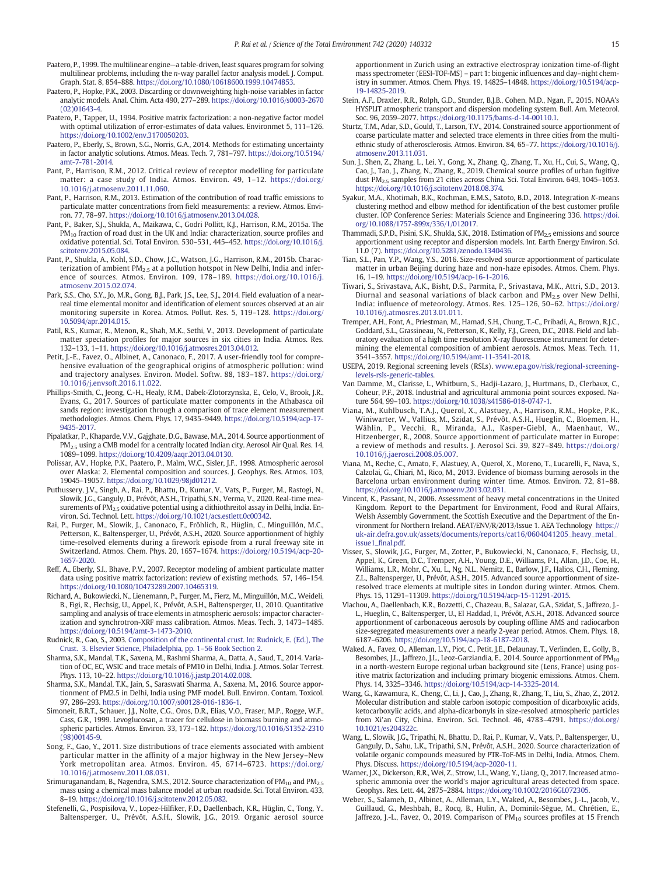- Paatero, P., 1999. The multilinear engine—a table-driven, least squares program for solving multilinear problems, including the *n*-way parallel factor analysis model. J. Comput. Graph. Stat. 8, 854–888. https://doi.org/10.1080/10618600.1999.10474853.
- Paatero, P., Hopke, P.K., 2003. Discarding or downweighting high-noise variables in factor analytic models. Anal. Chim. Acta 490, 277–289. https://doi.org/10.1016/s0003-2670 (02)01643-4.
- Paatero, P., Tapper, U., 1994. Positive matrix factorization: a non-negative factor model with optimal utilization of error-estimates of data values. Environmet 5, 111–126. https://doi.org/10.1002/env.3170050203.
- Paatero, P., Eberly, S., Brown, S.G., Norris, G.A., 2014. Methods for estimating uncertainty in factor analytic solutions. Atmos. Meas. Tech. 7, 781–797. https://doi.org/10.5194/ amt-7-781-2014.
- Pant, P., Harrison, R.M., 2012. Critical review of receptor modelling for particulate matter: a case study of India. Atmos. Environ. 49, 1–12. https://doi.org/ 10.1016/j.atmosenv.2011.11.060.
- Pant, P., Harrison, R.M., 2013. Estimation of the contribution of road traffic emissions to particulate matter concentrations from field measurements: a review. Atmos. Environ. 77, 78–97. https://doi.org/10.1016/j.atmosenv.2013.04.028.
- Pant, P., Baker, S.J., Shukla, A., Maikawa, C., Godri Pollitt, K.J., Harrison, R.M., 2015a. The PM<sub>10</sub> fraction of road dust in the UK and India: characterization, source profiles and oxidative potential. Sci. Total Environ. 530–531, 445–452. https://doi.org/10.1016/j. scitotenv.2015.05.084.
- Pant, P., Shukla, A., Kohl, S.D., Chow, J.C., Watson, J.G., Harrison, R.M., 2015b. Characterization of ambient  $PM_{2.5}$  at a pollution hotspot in New Delhi, India and inference of sources. Atmos. Environ. 109, 178–189. https://doi.org/10.1016/j. atmosenv.2015.02.074.
- Park, S.S., Cho, S.Y., Jo, M.R., Gong, B.J., Park, J.S., Lee, S.J., 2014. Field evaluation of a nearreal time elemental monitor and identification of element sources observed at an air monitoring supersite in Korea. Atmos. Pollut. Res. 5, 119–128. https://doi.org/ 10.5094/apr.2014.015.
- Patil, R.S., Kumar, R., Menon, R., Shah, M.K., Sethi, V., 2013. Development of particulate matter speciation profiles for major sources in six cities in India. Atmos. Res. 132–133, 1–11. https://doi.org/10.1016/j.atmosres.2013.04.012.
- Petit, J.-E., Favez, O., Albinet, A., Canonaco, F., 2017. A user-friendly tool for comprehensive evaluation of the geographical origins of atmospheric pollution: wind and trajectory analyses. Environ. Model. Softw. 88, 183–187. https://doi.org/ 10.1016/j.envsoft.2016.11.022.
- Phillips-Smith, C., Jeong, C.-H., Healy, R.M., Dabek-Zlotorzynska, E., Celo, V., Brook, J.R., Evans, G., 2017. Sources of particulate matter components in the Athabasca oil sands region: investigation through a comparison of trace element measurement methodologies. Atmos. Chem. Phys. 17, 9435–9449. https://doi.org/10.5194/acp-17- 9435-2017.
- Pipalatkar, P., Khaparde, V.V., Gajghate, D.G., Bawase, M.A., 2014. Source apportionment of PM<sub>2.5</sub> using a CMB model for a centrally located Indian city. Aerosol Air Qual. Res. 14, 1089–1099. https://doi.org/10.4209/aaqr.2013.04.0130.
- Polissar, A.V., Hopke, P.K., Paatero, P., Malm, W.C., Sisler, J.F., 1998. Atmospheric aerosol over Alaska: 2. Elemental composition and sources. J. Geophys. Res. Atmos. 103, 19045–19057. https://doi.org/10.1029/98jd01212.
- Puthussery, J.V., Singh, A., Rai, P., Bhattu, D., Kumar, V., Vats, P., Furger, M., Rastogi, N., Slowik, J.G., Ganguly, D., Prévôt, A.S.H., Tripathi, S.N., Verma, V., 2020. Real-time measurements of  $PM_{2.5}$  oxidative potential using a dithiothreitol assay in Delhi, India. Environ. Sci. Technol. Lett. https://doi.org/10.1021/acs.estlett.0c00342.
- Rai, P., Furger, M., Slowik, J., Canonaco, F., Fröhlich, R., Hüglin, C., Minguillón, M.C., Petterson, K., Baltensperger, U., Prévôt, A.S.H., 2020. Source apportionment of highly time-resolved elements during a firework episode from a rural freeway site in Switzerland. Atmos. Chem. Phys. 20, 1657–1674. https://doi.org/10.5194/acp-20- 1657-2020.
- Reff, A., Eberly, S.I., Bhave, P.V., 2007. Receptor modeling of ambient particulate matter data using positive matrix factorization: review of existing methods. 57, 146–154. https://doi.org/10.1080/10473289.2007.10465319.
- Richard, A., Bukowiecki, N., Lienemann, P., Furger, M., Fierz, M., Minguillón, M.C., Weideli, B., Figi, R., Flechsig, U., Appel, K., Prévôt, A.S.H., Baltensperger, U., 2010. Quantitative sampling and analysis of trace elements in atmospheric aerosols: impactor characterization and synchrotron-XRF mass calibration. Atmos. Meas. Tech. 3, 1473–1485. https://doi.org/10.5194/amt-3-1473-2010.
- Rudnick, R., Gao, S., 2003. Composition of the continental crust. In: Rudnick, E. (Ed.), The Crust. 3. Elsevier Science, Philadelphia, pp. 1–56 Book Section 2.
- Sharma, S.K., Mandal, T.K., Saxena, M., Rashmi Sharma, A., Datta, A., Saud, T., 2014. Variation of OC, EC, WSIC and trace metals of PM10 in Delhi, India. J. Atmos. Solar Terrest. Phys. 113, 10–22. https://doi.org/10.1016/j.jastp.2014.02.008.
- Sharma, S.K., Mandal, T.K., Jain, S., Saraswati Sharma, A., Saxena, M., 2016. Source apportionment of PM2.5 in Delhi, India using PMF model. Bull. Environ. Contam. Toxicol. 97, 286–293. https://doi.org/10.1007/s00128-016-1836-1.
- Simoneit, B.R.T., Schauer, J.J., Nolte, C.G., Oros, D.R., Elias, V.O., Fraser, M.P., Rogge, W.F., Cass, G.R., 1999. Levoglucosan, a tracer for cellulose in biomass burning and atmospheric particles. Atmos. Environ. 33, 173–182. https://doi.org/10.1016/S1352-2310 (98)00145-9.
- Song, F., Gao, Y., 2011. Size distributions of trace elements associated with ambient particular matter in the affinity of a major highway in the New Jersey–New York metropolitan area. Atmos. Environ. 45, 6714–6723. https://doi.org/ 10.1016/j.atmosenv.2011.08.031.
- Srimuruganandam, B., Nagendra, S.M.S., 2012. Source characterization of  $PM_{10}$  and  $PM_{2.5}$ mass using a chemical mass balance model at urban roadside. Sci. Total Environ. 433, 8–19. https://doi.org/10.1016/j.scitotenv.2012.05.082.
- Stefenelli, G., Pospisilova, V., Lopez-Hilfiker, F.D., Daellenbach, K.R., Hüglin, C., Tong, Y., Baltensperger, U., Prévôt, A.S.H., Slowik, J.G., 2019. Organic aerosol source

apportionment in Zurich using an extractive electrospray ionization time-of-flight mass spectrometer (EESI-TOF-MS) – part 1: biogenic influences and day–night chemistry in summer. Atmos. Chem. Phys. 19, 14825–14848. https://doi.org/10.5194/acp-19-14825-2019.

- Stein, A.F., Draxler, R.R., Rolph, G.D., Stunder, B.J.B., Cohen, M.D., Ngan, F., 2015. NOAA's HYSPLIT atmospheric transport and dispersion modeling system. Bull. Am. Meteorol. Soc. 96, 2059–2077. https://doi.org/10.1175/bams-d-14-00110.1.
- Sturtz, T.M., Adar, S.D., Gould, T., Larson, T.V., 2014. Constrained source apportionment of coarse particulate matter and selected trace elements in three cities from the multiethnic study of atherosclerosis. Atmos. Environ. 84, 65–77. https://doi.org/10.1016/j. atmosenv.2013.11.031.
- Sun, J., Shen, Z., Zhang, L., Lei, Y., Gong, X., Zhang, Q., Zhang, T., Xu, H., Cui, S., Wang, Q., Cao, J., Tao, J., Zhang, N., Zhang, R., 2019. Chemical source profiles of urban fugitive dust PM2.5 samples from 21 cities across China. Sci. Total Environ. 649, 1045–1053. https://doi.org/10.1016/j.scitotenv.2018.08.374.
- Syakur, M.A., Khotimah, B.K., Rochman, E.M.S., Satoto, B.D., 2018. Integration *K*-means clustering method and elbow method for identification of the best customer profile cluster. IOP Conference Series: Materials Science and Engineering 336. https://doi. org/10.1088/1757-899x/336/1/012017.
- Thammadi, S.P.D., Pisini, S.K., Shukla, S.K., 2018. Estimation of PM<sub>2.5</sub> emissions and source apportionment using receptor and dispersion models. Int. Earth Energy Environ. Sci. 11.0 (7). https://doi.org/10.5281/zenodo.1340436.
- Tian, S.L., Pan, Y.P., Wang, Y.S., 2016. Size-resolved source apportionment of particulate matter in urban Beijing during haze and non-haze episodes. Atmos. Chem. Phys. 16, 1–19. https://doi.org/10.5194/acp-16-1-2016.
- Tiwari, S., Srivastava, A.K., Bisht, D.S., Parmita, P., Srivastava, M.K., Attri, S.D., 2013. Diurnal and seasonal variations of black carbon and PM2.5 over New Delhi, India: influence of meteorology. Atmos. Res. 125–126, 50–62. https://doi.org/ 10.1016/j.atmosres.2013.01.011.
- Tremper, A.H., Font, A., Priestman, M., Hamad, S.H., Chung, T.-C., Pribadi, A., Brown, R.J.C., Goddard, S.L., Grassineau, N., Petterson, K., Kelly, F.J., Green, D.C., 2018. Field and laboratory evaluation of a high time resolution X-ray fluorescence instrument for determining the elemental composition of ambient aerosols. Atmos. Meas. Tech. 11, 3541–3557. https://doi.org/10.5194/amt-11-3541-2018.
- USEPA, 2019. Regional screening levels (RSLs). www.epa.gov/risk/regional-screeninglevels-rsls-generic-tables.
- Van Damme, M., Clarisse, L., Whitburn, S., Hadji-Lazaro, J., Hurtmans, D., Clerbaux, C., Coheur, P.F., 2018. Industrial and agricultural ammonia point sources exposed. Nature 564, 99–103. https://doi.org/10.1038/s41586-018-0747-1.
- Viana, M., Kuhlbusch, T.A.J., Querol, X., Alastuey, A., Harrison, R.M., Hopke, P.K., Winiwarter, W., Vallius, M., Szidat, S., Prévôt, A.S.H., Hueglin, C., Bloemen, H., Wåhlin, P., Vecchi, R., Miranda, A.I., Kasper-Giebl, A., Maenhaut, W., Hitzenberger, R., 2008. Source apportionment of particulate matter in Europe: a review of methods and results. J. Aerosol Sci. 39, 827–849. https://doi.org/ 10.1016/j.jaerosci.2008.05.007.
- Viana, M., Reche, C., Amato, F., Alastuey, A., Querol, X., Moreno, T., Lucarelli, F., Nava, S., Calzolai, G., Chiari, M., Rico, M., 2013. Evidence of biomass burning aerosols in the Barcelona urban environment during winter time. Atmos. Environ. 72, 81–88. https://doi.org/10.1016/j.atmosenv.2013.02.031.
- Vincent, K., Passant, N., 2006. Assessment of heavy metal concentrations in the United Kingdom. Report to the Department for Environment, Food and Rural Affairs, Welsh Assembly Government, the Scottish Executive and the Department of the Environment for Northern Ireland. AEAT/ENV/R/2013/Issue 1. AEA Technology https:// uk-air.defra.gov.uk/assets/documents/reports/cat16/0604041205\_heavy\_metal\_ issue1\_final.pdf.
- Visser, S., Slowik, J.G., Furger, M., Zotter, P., Bukowiecki, N., Canonaco, F., Flechsig, U., Appel, K., Green, D.C., Tremper, A.H., Young, D.E., Williams, P.I., Allan, J.D., Coe, H.,<br>Williams, L.R., Mohr, C., Xu, L., Ng, N.L., Nemitz, E., Barlow, J.F., Halios, C.H., Fleming, Z.L., Baltensperger, U., Prévôt, A.S.H., 2015. Advanced source apportionment of sizeresolved trace elements at multiple sites in London during winter. Atmos. Chem. Phys. 15, 11291–11309. https://doi.org/10.5194/acp-15-11291-2015.
- Vlachou, A., Daellenbach, K.R., Bozzetti, C., Chazeau, B., Salazar, G.A., Szidat, S., Jaffrezo, J.- L., Hueglin, C., Baltensperger, U., El Haddad, I., Prévôt, A.S.H., 2018. Advanced source apportionment of carbonaceous aerosols by coupling offline AMS and radiocarbon size-segregated measurements over a nearly 2-year period. Atmos. Chem. Phys. 18, 6187–6206. https://doi.org/10.5194/acp-18-6187-2018.
- Waked, A., Favez, O., Alleman, L.Y., Piot, C., Petit, J.E., Delaunay, T., Verlinden, E., Golly, B., Besombes, J.L., Jaffrezo, J.L., Leoz-Garziandia, E., 2014. Source apportionment of PM<sub>10</sub> in a north-western Europe regional urban background site (Lens, France) using positive matrix factorization and including primary biogenic emissions. Atmos. Chem. Phys. 14, 3325–3346. https://doi.org/10.5194/acp-14-3325-2014.
- Wang, G., Kawamura, K., Cheng, C., Li, J., Cao, J., Zhang, R., Zhang, T., Liu, S., Zhao, Z., 2012. Molecular distribution and stable carbon isotopic composition of dicarboxylic acids, ketocarboxylic acids, and alpha-dicarbonyls in size-resolved atmospheric particles from Xi'an City, China. Environ. Sci. Technol. 46, 4783-4791. https://doi.org/ 10.1021/es204322c.
- Wang, L., Slowik, J.G., Tripathi, N., Bhattu, D., Rai, P., Kumar, V., Vats, P., Baltensperger, U., Ganguly, D., Sahu, L.K., Tripathi, S.N., Prévôt, A.S.H., 2020. Source characterization of volatile organic compounds measured by PTR-ToF-MS in Delhi, India. Atmos. Chem. Phys. Discuss. https://doi.org/10.5194/acp-2020-11.
- Warner, J.X., Dickerson, R.R., Wei, Z., Strow, L.L., Wang, Y., Liang, Q., 2017. Increased atmospheric ammonia over the world's major agricultural areas detected from space. Geophys. Res. Lett. 44, 2875–2884. https://doi.org/10.1002/2016GL072305.
- Weber, S., Salameh, D., Albinet, A., Alleman, L.Y., Waked, A., Besombes, J.-L., Jacob, V., Guillaud, G., Meshbah, B., Rocq, B., Hulin, A., Dominik-Sègue, M., Chrétien, E., Jaffrezo, J.-L., Favez, O., 2019. Comparison of PM<sub>10</sub> sources profiles at 15 French